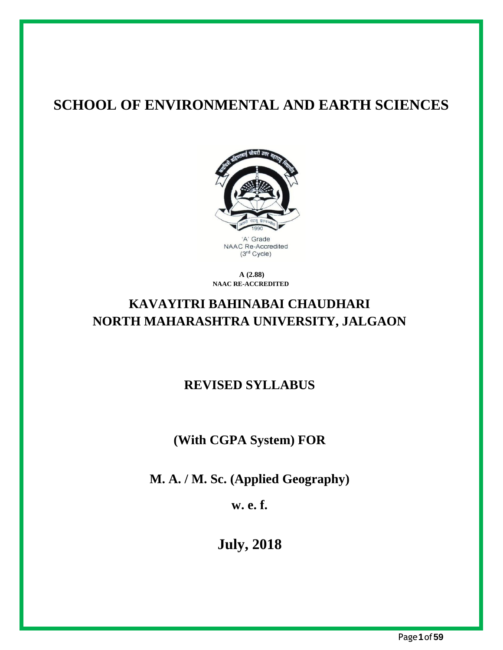## **SCHOOL OF ENVIRONMENTAL AND EARTH SCIENCES**



**A (2.88) NAAC RE-ACCREDITED**

## **KAVAYITRI BAHINABAI CHAUDHARI NORTH MAHARASHTRA UNIVERSITY, JALGAON**

## **REVISED SYLLABUS**

## **(With CGPA System) FOR**

**M. A. / M. Sc. (Applied Geography)**

**w. e. f.**

**July, 2018**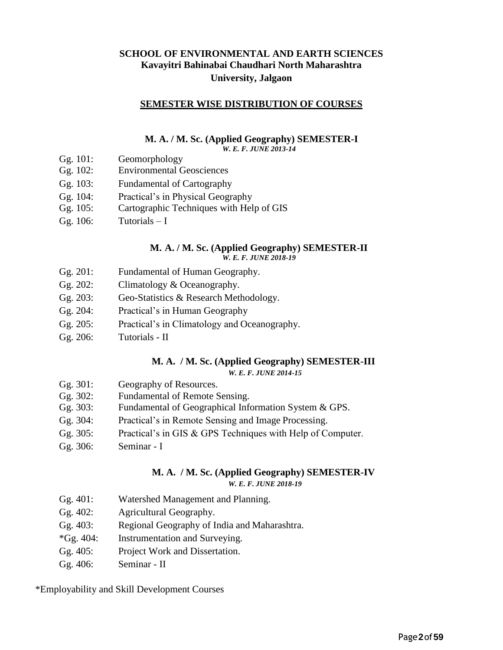#### **SCHOOL OF ENVIRONMENTAL AND EARTH SCIENCES Kavayitri Bahinabai Chaudhari North Maharashtra University, Jalgaon**

#### **SEMESTER WISE DISTRIBUTION OF COURSES**

#### **M. A. / M. Sc. (Applied Geography) SEMESTER-I** *W. E. F. JUNE 2013-14*

- Gg. 101: Geomorphology
- Gg. 102: Environmental Geosciences
- Gg. 103: Fundamental of Cartography
- Gg. 104: Practical's in Physical Geography
- Gg. 105: Cartographic Techniques with Help of GIS
- Gg.  $106$ : Tutorials  $-1$

#### **M. A. / M. Sc. (Applied Geography) SEMESTER-II** *W. E. F. JUNE 2018-19*

- Gg. 201: Fundamental of Human Geography.
- Gg. 202: Climatology & Oceanography.
- Gg. 203: Geo-Statistics & Research Methodology.
- Gg. 204: Practical's in Human Geography
- Gg. 205: Practical's in Climatology and Oceanography.
- Gg. 206: Tutorials II

#### **M. A. / M. Sc. (Applied Geography) SEMESTER-III** *W. E. F. JUNE 2014-15*

- Gg. 301: Geography of Resources.
- Gg. 302: Fundamental of Remote Sensing.
- Gg. 303: Fundamental of Geographical Information System & GPS.
- Gg. 304: Practical's in Remote Sensing and Image Processing.
- Gg. 305: Practical's in GIS & GPS Techniques with Help of Computer.
- Gg. 306: Seminar I

#### **M. A. / M. Sc. (Applied Geography) SEMESTER-IV**

*W. E. F. JUNE 2018-19*

- Gg. 401: Watershed Management and Planning.
- Gg. 402: Agricultural Geography.
- Gg. 403: Regional Geography of India and Maharashtra.
- \*Gg. 404: Instrumentation and Surveying.
- Gg. 405: Project Work and Dissertation.
- Gg. 406: Seminar II

\*Employability and Skill Development Courses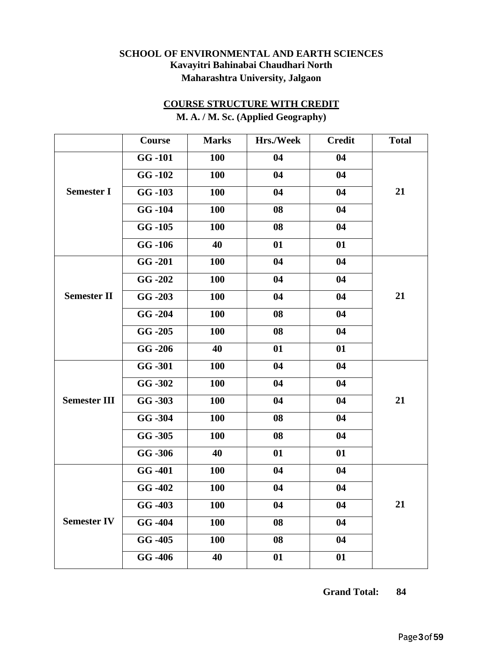#### **SCHOOL OF ENVIRONMENTAL AND EARTH SCIENCES Kavayitri Bahinabai Chaudhari North Maharashtra University, Jalgaon**

## **COURSE STRUCTURE WITH CREDIT**

|                     | Course                | <b>Marks</b> | Hrs./Week | <b>Credit</b>   | <b>Total</b> |
|---------------------|-----------------------|--------------|-----------|-----------------|--------------|
|                     | <b>GG-101</b>         | 100          | 04        | 04              |              |
|                     | GG-102                | 100          | 04        | 04              |              |
| <b>Semester I</b>   | $GG - 103$            | 100          | 04        | 04              | 21           |
|                     | GG-104                | <b>100</b>   | 08        | 04              |              |
|                     | $GG - 105$            | <b>100</b>   | 08        | 04              |              |
|                     | GG-106                | 40           | 01        | 01              |              |
|                     | $GG - 201$            | 100          | 04        | 04              |              |
|                     | GG-202                | 100          | 04        | 04              |              |
| <b>Semester II</b>  | $GG - 203$            | 100          | 04        | 04              | 21           |
|                     | $GG - 204$            | <b>100</b>   | 08        | 04              |              |
|                     | $GG - 205$            | 100          | 08        | 04              |              |
|                     | $GG - 206$            | 40           | 01        | 01              |              |
|                     | GG-301                | <b>100</b>   | 04        | 04              |              |
|                     | GG -302               | <b>100</b>   | 04        | 04              |              |
| <b>Semester III</b> | GG -303               | 100          | 04        | 04              | 21           |
|                     | GG -304               | 100          | 08        | 04              |              |
|                     | GG -305               | 100          | 08        | 04              |              |
|                     | GG -306               | 40           | 01        | 01              |              |
|                     | GG -401               | <b>100</b>   | 04        | 04              |              |
|                     | GG -402               | 100          | 04        | 04              |              |
|                     | $GG - 403$            | <b>100</b>   | 04        | 04              | <b>21</b>    |
| <b>Semester IV</b>  | GG -404               | <b>100</b>   | 08        | 04              |              |
|                     | $\overline{G}$ G -405 | <b>100</b>   | 08        | 04              |              |
|                     | $GG - 406$            | 40           | 01        | $\overline{01}$ |              |

**M. A. / M. Sc. (Applied Geography)**

**Grand Total: 84**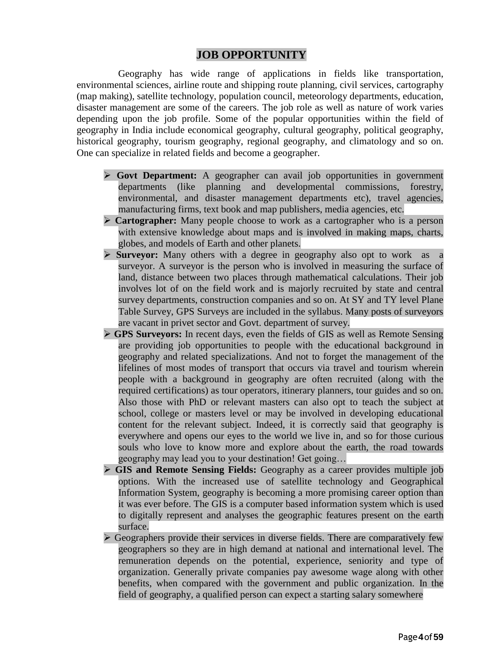#### **JOB OPPORTUNITY**

Geography has wide range of applications in fields like transportation, environmental sciences, airline route and shipping route planning, civil services, cartography (map making), satellite technology, population council, meteorology departments, education, disaster management are some of the careers. The job role as well as nature of work varies depending upon the job profile. Some of the popular opportunities within the field of geography in India include economical geography, cultural geography, political geography, historical geography, tourism geography, regional geography, and climatology and so on. One can specialize in related fields and become a geographer.

- ➢ **Govt Department:** A geographer can avail job opportunities in government departments (like planning and developmental commissions, forestry, environmental, and disaster management departments etc), travel agencies, manufacturing firms, text book and map publishers, media agencies, etc.
- ➢ **Cartographer:** Many people choose to work as a cartographer who is a person with extensive knowledge about maps and is involved in making maps, charts, globes, and models of Earth and other planets.
- ➢ **Surveyor:** Many others with a degree in geography also opt to work as a surveyor. A surveyor is the person who is involved in measuring the surface of land, distance between two places through mathematical calculations. Their job involves lot of on the field work and is majorly recruited by state and central survey departments, construction companies and so on. At SY and TY level Plane Table Survey, GPS Surveys are included in the syllabus. Many posts of surveyors are vacant in privet sector and Govt. department of survey.
- ➢ **GPS Surveyors:** In recent days, even the fields of GIS as well as Remote Sensing are providing job opportunities to people with the educational background in geography and related specializations. And not to forget the management of the lifelines of most modes of transport that occurs via travel and tourism wherein people with a background in geography are often recruited (along with the required certifications) as tour operators, itinerary planners, tour guides and so on. Also those with PhD or relevant masters can also opt to teach the subject at school, college or masters level or may be involved in developing educational content for the relevant subject. Indeed, it is correctly said that geography is everywhere and opens our eyes to the world we live in, and so for those curious souls who love to know more and explore about the earth, the road towards geography may lead you to your destination! Get going…
- ➢ **GIS and Remote Sensing Fields:** Geography as a career provides multiple job options. With the increased use of satellite technology and Geographical Information System, geography is becoming a more promising career option than it was ever before. The GIS is a computer based information system which is used to digitally represent and analyses the geographic features present on the earth surface.
- $\triangleright$  Geographers provide their services in diverse fields. There are comparatively few geographers so they are in high demand at national and international level. The remuneration depends on the potential, experience, seniority and type of organization. Generally private companies pay awesome wage along with other benefits, when compared with the government and public organization. In the field of geography, a qualified person can expect a starting salary somewhere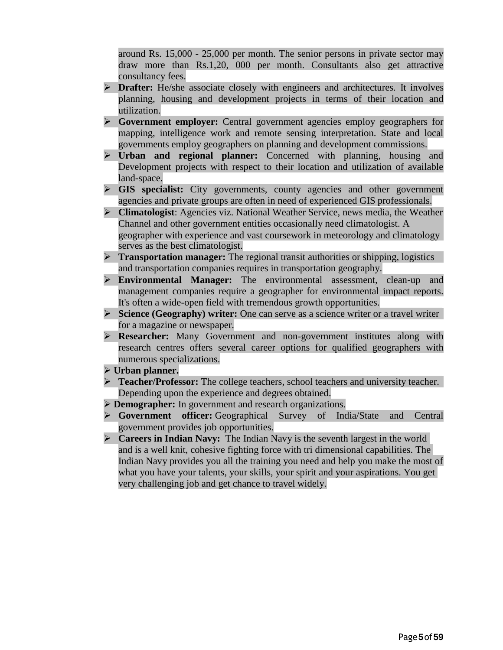around Rs. 15,000 - 25,000 per month. The senior persons in private sector may draw more than Rs.1,20, 000 per month. Consultants also get attractive consultancy fees.

- ➢ **Drafter:** He/she associate closely with engineers and architectures. It involves planning, housing and development projects in terms of their location and utilization.
- ➢ **Government employer:** Central government agencies employ geographers for mapping, intelligence work and remote sensing interpretation. State and local governments employ geographers on planning and development commissions.
- ➢ **Urban and regional planner:** Concerned with planning, housing and Development projects with respect to their location and utilization of available land-space.
- ➢ **GIS specialist:** City governments, county agencies and other government agencies and private groups are often in need of experienced GIS professionals.
- Channel and other government entities occasionally need climatologist. A geographer with experience and vast coursework in meteorology and climatology serves as the best climatologist. ➢ **Climatologist**: Agencies viz. National Weather Service, news media, the Weather
- ➢ **Transportation manager:** The regional transit authorities or shipping, logistics and transportation companies requires in transportation geography.
- ➢ **Environmental Manager:** The environmental assessment, clean-up and management companies require a geographer for environmental impact reports. It's often a wide-open field with tremendous growth opportunities.
- ➢ **Science (Geography) writer:** One can serve as a science writer or a travel writer for a magazine or newspaper.
- ➢ **Researcher:** Many Government and non-government institutes along with research centres offers several career options for qualified geographers with numerous specializations.
- ➢ **Urban planner.**
- ➢ **Teacher/Professor:** The college teachers, school teachers and university teacher. Depending upon the experience and degrees obtained.
- ➢ **Demographer:** In government and research organizations.
- ➢ **Government officer:** Geographical Survey of India/State and Central government provides job opportunities.
- ➢ **Careers in Indian Navy:** The Indian Navy is the seventh largest in the world and is a well knit, cohesive fighting force with tri dimensional capabilities. The Indian Navy provides you all the training you need and help you make the most of what you have your talents, your skills, your spirit and your aspirations. You get very challenging job and get chance to travel widely.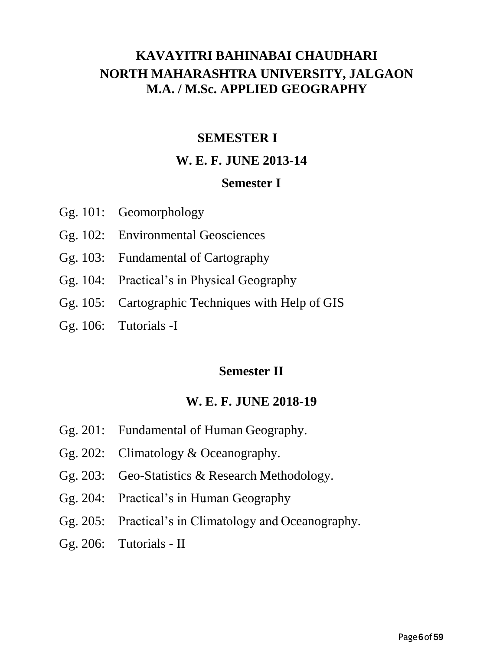## **KAVAYITRI BAHINABAI CHAUDHARI NORTH MAHARASHTRA UNIVERSITY, JALGAON M.A. / M.Sc. APPLIED GEOGRAPHY**

## **SEMESTER I**

## **W. E. F. JUNE 2013-14**

### **Semester I**

- Gg. 101: Geomorphology
- Gg. 102: Environmental Geosciences
- Gg. 103: Fundamental of Cartography
- Gg. 104: Practical's in Physical Geography
- Gg. 105: Cartographic Techniques with Help of GIS
- Gg. 106: Tutorials -I

## **Semester II**

### **W. E. F. JUNE 2018-19**

- Gg. 201: Fundamental of Human Geography.
- Gg. 202: Climatology & Oceanography.
- Gg. 203: Geo-Statistics & Research Methodology.
- Gg. 204: Practical's in Human Geography
- Gg. 205: Practical's in Climatology and Oceanography.
- Gg. 206: Tutorials II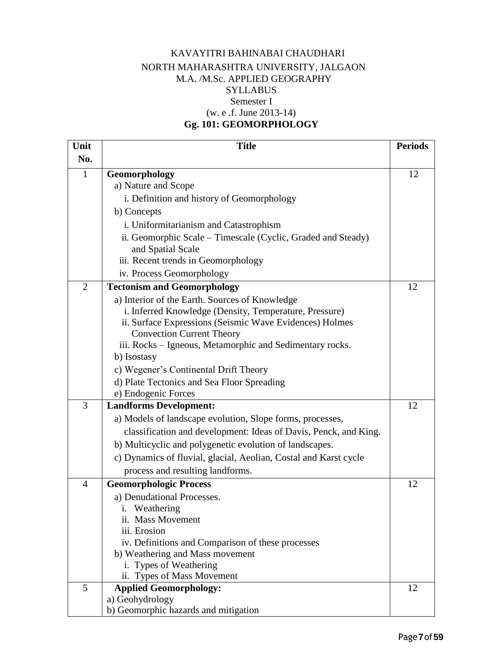#### KAVAYITRI BAHINABAI CHAUDHARI NORTH MAHARASHTRA UNIVERSITY, JALGAON M.A. /M.Sc. APPLIED GEOGRAPHY SYLLABUS Semester I (w. e .f. June 2013-14) **Gg. 101: GEOMORPHOLOGY**

| Unit           | <b>Title</b>                                                                         | <b>Periods</b> |
|----------------|--------------------------------------------------------------------------------------|----------------|
| No.            |                                                                                      |                |
| $\mathbf{1}$   | Geomorphology                                                                        | 12             |
|                | a) Nature and Scope                                                                  |                |
|                | i. Definition and history of Geomorphology                                           |                |
|                | b) Concepts                                                                          |                |
|                | i. Uniformitarianism and Catastrophism                                               |                |
|                | ii. Geomorphic Scale - Timescale (Cyclic, Graded and Steady)                         |                |
|                | and Spatial Scale                                                                    |                |
|                | iii. Recent trends in Geomorphology                                                  |                |
|                | iv. Process Geomorphology                                                            |                |
| $\overline{2}$ | <b>Tectonism and Geomorphology</b>                                                   | 12             |
|                | a) Interior of the Earth. Sources of Knowledge                                       |                |
|                | i. Inferred Knowledge (Density, Temperature, Pressure)                               |                |
|                | ii. Surface Expressions (Seismic Wave Evidences) Holmes                              |                |
|                | <b>Convection Current Theory</b>                                                     |                |
|                | iii. Rocks – Igneous, Metamorphic and Sedimentary rocks.                             |                |
|                | b) Isostasy                                                                          |                |
|                | c) Wegener's Continental Drift Theory                                                |                |
|                | d) Plate Tectonics and Sea Floor Spreading                                           |                |
|                | e) Endogenic Forces                                                                  |                |
| 3              | <b>Landforms Development:</b>                                                        | 12             |
|                | a) Models of landscape evolution, Slope forms, processes,                            |                |
|                | classification and development: Ideas of Davis, Penck, and King.                     |                |
|                | b) Multicyclic and polygenetic evolution of landscapes.                              |                |
|                | c) Dynamics of fluvial, glacial, Aeolian, Costal and Karst cycle                     |                |
|                | process and resulting landforms.                                                     |                |
| $\overline{4}$ | <b>Geomorphologic Process</b>                                                        | 12             |
|                | a) Denudational Processes.                                                           |                |
|                | Weathering<br>1.                                                                     |                |
|                | ii. Mass Movement                                                                    |                |
|                | iii. Erosion                                                                         |                |
|                | iv. Definitions and Comparison of these processes<br>b) Weathering and Mass movement |                |
|                | i. Types of Weathering                                                               |                |
|                | ii. Types of Mass Movement                                                           |                |
| 5              | <b>Applied Geomorphology:</b>                                                        | 12             |
|                | a) Geohydrology                                                                      |                |
|                | b) Geomorphic hazards and mitigation                                                 |                |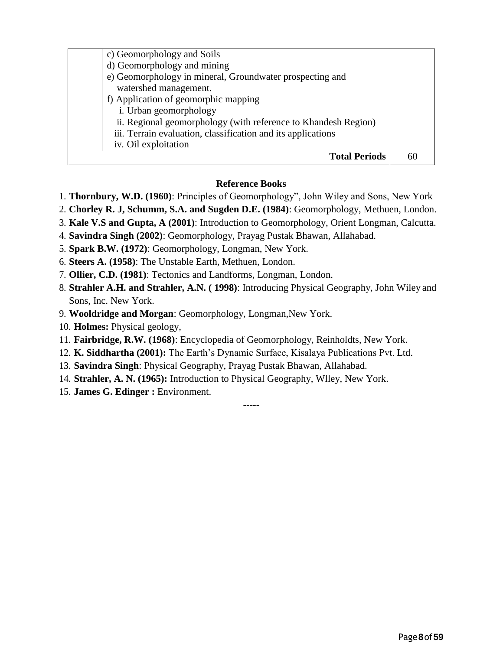| c) Geomorphology and Soils                                     |    |
|----------------------------------------------------------------|----|
| d) Geomorphology and mining                                    |    |
| e) Geomorphology in mineral, Groundwater prospecting and       |    |
| watershed management.                                          |    |
| f) Application of geomorphic mapping                           |    |
| i. Urban geomorphology                                         |    |
| ii. Regional geomorphology (with reference to Khandesh Region) |    |
| iii. Terrain evaluation, classification and its applications   |    |
| iv. Oil exploitation                                           |    |
| <b>Total Periods</b>                                           | 61 |

#### **Reference Books**

- 1. **Thornbury, W.D. (1960)**: Principles of Geomorphology", John Wiley and Sons, New York
- 2. **Chorley R. J, Schumm, S.A. and Sugden D.E. (1984)**: Geomorphology, Methuen, London.
- 3. **Kale V.S and Gupta, A (2001)**: Introduction to Geomorphology, Orient Longman, Calcutta.
- 4. **Savindra Singh (2002)**: Geomorphology, Prayag Pustak Bhawan, Allahabad.
- 5. **Spark B.W. (1972)**: Geomorphology, Longman, New York.
- 6. **Steers A. (1958)**: The Unstable Earth, Methuen, London.
- 7. **Ollier, C.D. (1981)**: Tectonics and Landforms, Longman, London.
- 8. **Strahler A.H. and Strahler, A.N. ( 1998)**: Introducing Physical Geography, John Wiley and Sons, Inc. New York.

- 9. **Wooldridge and Morgan**: Geomorphology, Longman,New York.
- 10. **Holmes:** Physical geology,
- 11. **Fairbridge, R.W. (1968)**: Encyclopedia of Geomorphology, Reinholdts, New York.
- 12. **K. Siddhartha (2001):** The Earth's Dynamic Surface, Kisalaya Publications Pvt. Ltd.
- 13. **Savindra Singh**: Physical Geography, Prayag Pustak Bhawan, Allahabad.
- 14. **Strahler, A. N. (1965):** Introduction to Physical Geography, Wlley, New York.
- 15. **James G. Edinger :** Environment.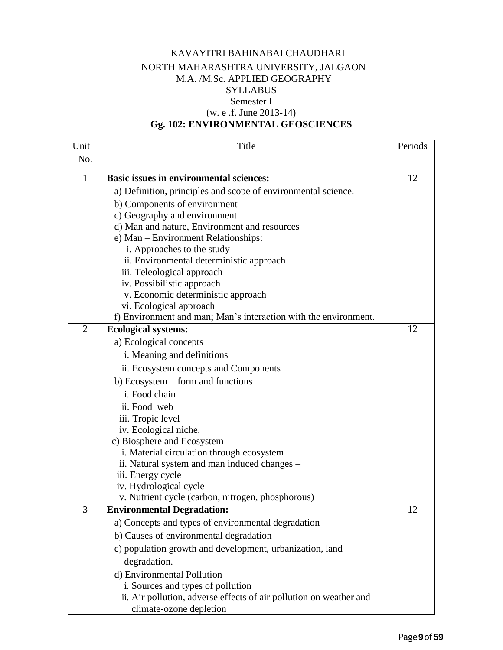#### KAVAYITRI BAHINABAI CHAUDHARI NORTH MAHARASHTRA UNIVERSITY, JALGAON M.A. /M.Sc. APPLIED GEOGRAPHY SYLLABUS Semester I (w. e .f. June 2013-14)

## **Gg. 102: ENVIRONMENTAL GEOSCIENCES**

| Unit           | Title                                                                                                                                                            | Periods |
|----------------|------------------------------------------------------------------------------------------------------------------------------------------------------------------|---------|
| No.            |                                                                                                                                                                  |         |
| $\mathbf{1}$   | <b>Basic issues in environmental sciences:</b>                                                                                                                   | 12      |
|                | a) Definition, principles and scope of environmental science.                                                                                                    |         |
|                | b) Components of environment                                                                                                                                     |         |
|                | c) Geography and environment                                                                                                                                     |         |
|                | d) Man and nature, Environment and resources                                                                                                                     |         |
|                | e) Man - Environment Relationships:                                                                                                                              |         |
|                | i. Approaches to the study                                                                                                                                       |         |
|                | ii. Environmental deterministic approach                                                                                                                         |         |
|                | iii. Teleological approach                                                                                                                                       |         |
|                | iv. Possibilistic approach                                                                                                                                       |         |
|                | v. Economic deterministic approach<br>vi. Ecological approach                                                                                                    |         |
|                | f) Environment and man; Man's interaction with the environment.                                                                                                  |         |
| $\overline{2}$ | <b>Ecological systems:</b>                                                                                                                                       | 12      |
|                | a) Ecological concepts                                                                                                                                           |         |
|                | i. Meaning and definitions                                                                                                                                       |         |
|                | ii. Ecosystem concepts and Components                                                                                                                            |         |
|                | b) Ecosystem – form and functions                                                                                                                                |         |
|                | i. Food chain                                                                                                                                                    |         |
|                | ii. Food web                                                                                                                                                     |         |
|                | iii. Tropic level                                                                                                                                                |         |
|                | iv. Ecological niche.                                                                                                                                            |         |
|                | c) Biosphere and Ecosystem                                                                                                                                       |         |
|                | i. Material circulation through ecosystem                                                                                                                        |         |
|                | ii. Natural system and man induced changes –                                                                                                                     |         |
|                | iii. Energy cycle                                                                                                                                                |         |
|                | iv. Hydrological cycle                                                                                                                                           |         |
|                | v. Nutrient cycle (carbon, nitrogen, phosphorous)                                                                                                                |         |
| 3              | <b>Environmental Degradation:</b>                                                                                                                                | 12      |
|                | a) Concepts and types of environmental degradation                                                                                                               |         |
|                | b) Causes of environmental degradation                                                                                                                           |         |
|                | c) population growth and development, urbanization, land                                                                                                         |         |
|                | degradation.                                                                                                                                                     |         |
|                |                                                                                                                                                                  |         |
|                |                                                                                                                                                                  |         |
|                |                                                                                                                                                                  |         |
|                | d) Environmental Pollution<br>i. Sources and types of pollution<br>ii. Air pollution, adverse effects of air pollution on weather and<br>climate-ozone depletion |         |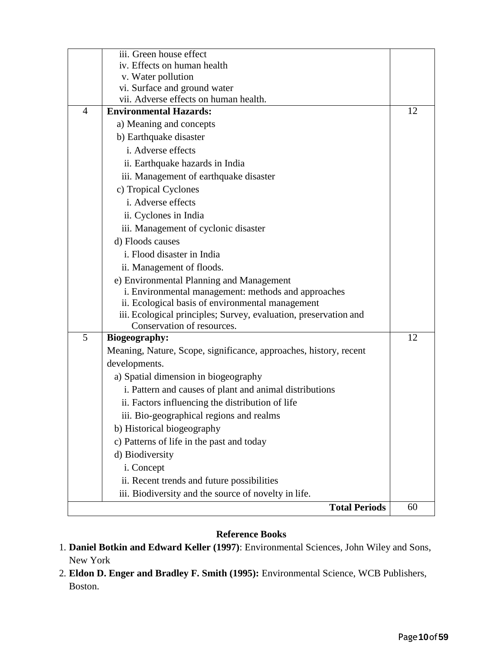|                | iii. Green house effect                                           |    |
|----------------|-------------------------------------------------------------------|----|
|                | iv. Effects on human health                                       |    |
|                | v. Water pollution                                                |    |
|                | vi. Surface and ground water                                      |    |
|                | vii. Adverse effects on human health.                             |    |
| $\overline{4}$ | <b>Environmental Hazards:</b>                                     | 12 |
|                | a) Meaning and concepts                                           |    |
|                | b) Earthquake disaster                                            |    |
|                | i. Adverse effects                                                |    |
|                | ii. Earthquake hazards in India                                   |    |
|                | iii. Management of earthquake disaster                            |    |
|                | c) Tropical Cyclones                                              |    |
|                | i. Adverse effects                                                |    |
|                | ii. Cyclones in India                                             |    |
|                | iii. Management of cyclonic disaster                              |    |
|                | d) Floods causes                                                  |    |
|                | i. Flood disaster in India                                        |    |
|                | ii. Management of floods.                                         |    |
|                | e) Environmental Planning and Management                          |    |
|                | i. Environmental management: methods and approaches               |    |
|                | ii. Ecological basis of environmental management                  |    |
|                | iii. Ecological principles; Survey, evaluation, preservation and  |    |
|                | Conservation of resources.                                        |    |
| 5              | <b>Biogeography:</b>                                              | 12 |
|                | Meaning, Nature, Scope, significance, approaches, history, recent |    |
|                | developments.                                                     |    |
|                | a) Spatial dimension in biogeography                              |    |
|                | i. Pattern and causes of plant and animal distributions           |    |
|                | ii. Factors influencing the distribution of life                  |    |
|                | iii. Bio-geographical regions and realms                          |    |
|                | b) Historical biogeography                                        |    |
|                | c) Patterns of life in the past and today                         |    |
|                | d) Biodiversity                                                   |    |
|                | i. Concept                                                        |    |
|                | ii. Recent trends and future possibilities                        |    |
|                | iii. Biodiversity and the source of novelty in life.              |    |
|                | <b>Total Periods</b>                                              | 60 |
|                |                                                                   |    |

#### **Reference Books**

- 1. **Daniel Botkin and Edward Keller (1997)**: Environmental Sciences, John Wiley and Sons, New York
- 2. **Eldon D. Enger and Bradley F. Smith (1995):** Environmental Science, WCB Publishers, Boston.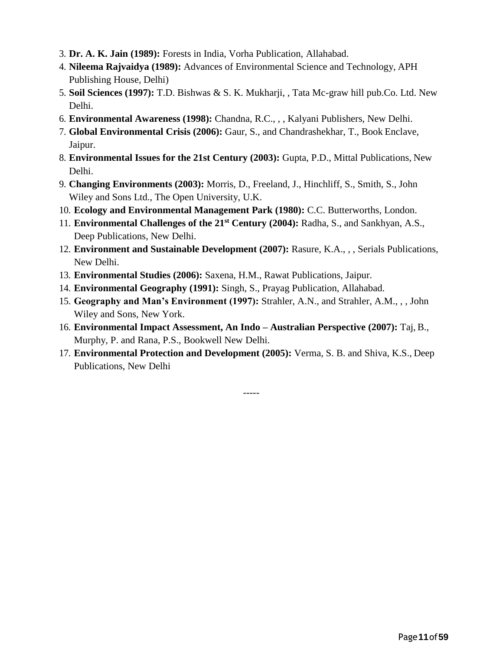- 3. **Dr. A. K. Jain (1989):** Forests in India, Vorha Publication, Allahabad.
- 4. **Nileema Rajvaidya (1989):** Advances of Environmental Science and Technology, APH Publishing House, Delhi)
- 5. **Soil Sciences (1997):** T.D. Bishwas & S. K. Mukharji, , Tata Mc-graw hill pub.Co. Ltd. New Delhi.
- 6. **Environmental Awareness (1998):** Chandna, R.C., , , Kalyani Publishers, New Delhi.
- 7. **Global Environmental Crisis (2006):** Gaur, S., and Chandrashekhar, T., Book Enclave, Jaipur.
- 8. **Environmental Issues for the 21st Century (2003):** Gupta, P.D., Mittal Publications, New Delhi.
- 9. **Changing Environments (2003):** Morris, D., Freeland, J., Hinchliff, S., Smith, S., John Wiley and Sons Ltd., The Open University, U.K.
- 10. **Ecology and Environmental Management Park (1980):** C.C. Butterworths, London.
- 11. **Environmental Challenges of the 21st Century (2004):** Radha, S., and Sankhyan, A.S., Deep Publications, New Delhi.
- 12. **Environment and Sustainable Development (2007):** Rasure, K.A., , , Serials Publications, New Delhi.
- 13. **Environmental Studies (2006):** Saxena, H.M., Rawat Publications, Jaipur.
- 14. **Environmental Geography (1991):** Singh, S., Prayag Publication, Allahabad.
- 15. **Geography and Man's Environment (1997):** Strahler, A.N., and Strahler, A.M., , , John Wiley and Sons, New York.
- 16. **Environmental Impact Assessment, An Indo – Australian Perspective (2007):** Taj, B., Murphy, P. and Rana, P.S., Bookwell New Delhi.
- 17. **Environmental Protection and Development (2005):** Verma, S. B. and Shiva, K.S., Deep Publications, New Delhi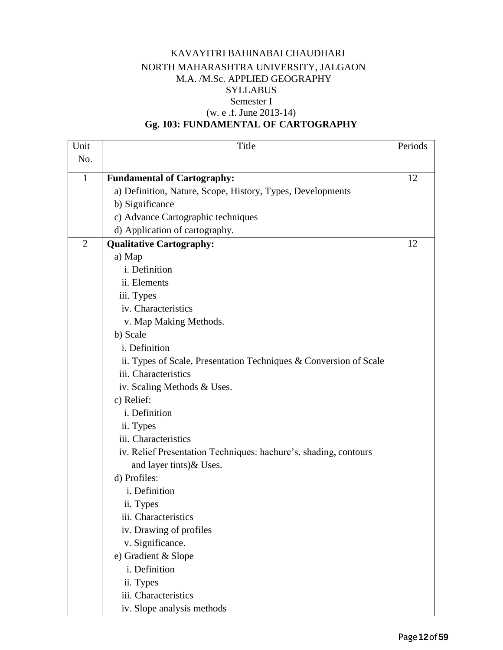#### KAVAYITRI BAHINABAI CHAUDHARI NORTH MAHARASHTRA UNIVERSITY, JALGAON M.A. /M.Sc. APPLIED GEOGRAPHY SYLLABUS Semester I (w. e .f. June 2013-14)

## **Gg. 103: FUNDAMENTAL OF CARTOGRAPHY**

| Unit           | Title                                                             | Periods |
|----------------|-------------------------------------------------------------------|---------|
| No.            |                                                                   |         |
| $\mathbf{1}$   | <b>Fundamental of Cartography:</b>                                | 12      |
|                | a) Definition, Nature, Scope, History, Types, Developments        |         |
|                | b) Significance                                                   |         |
|                | c) Advance Cartographic techniques                                |         |
|                | d) Application of cartography.                                    |         |
| $\overline{2}$ | <b>Qualitative Cartography:</b>                                   | 12      |
|                | a) Map                                                            |         |
|                | i. Definition                                                     |         |
|                | ii. Elements                                                      |         |
|                | iii. Types                                                        |         |
|                | iv. Characteristics                                               |         |
|                | v. Map Making Methods.                                            |         |
|                | b) Scale                                                          |         |
|                | i. Definition                                                     |         |
|                | ii. Types of Scale, Presentation Techniques & Conversion of Scale |         |
|                | iii. Characteristics                                              |         |
|                | iv. Scaling Methods & Uses.                                       |         |
|                | c) Relief:                                                        |         |
|                | i. Definition                                                     |         |
|                | ii. Types                                                         |         |
|                | iii. Characteristics                                              |         |
|                | iv. Relief Presentation Techniques: hachure's, shading, contours  |         |
|                | and layer tints) & Uses.                                          |         |
|                | d) Profiles:                                                      |         |
|                | i. Definition                                                     |         |
|                | ii. Types                                                         |         |
|                | iii. Characteristics                                              |         |
|                | iv. Drawing of profiles                                           |         |
|                | v. Significance.                                                  |         |
|                | e) Gradient & Slope                                               |         |
|                | i. Definition                                                     |         |
|                | ii. Types                                                         |         |
|                | iii. Characteristics                                              |         |
|                | iv. Slope analysis methods                                        |         |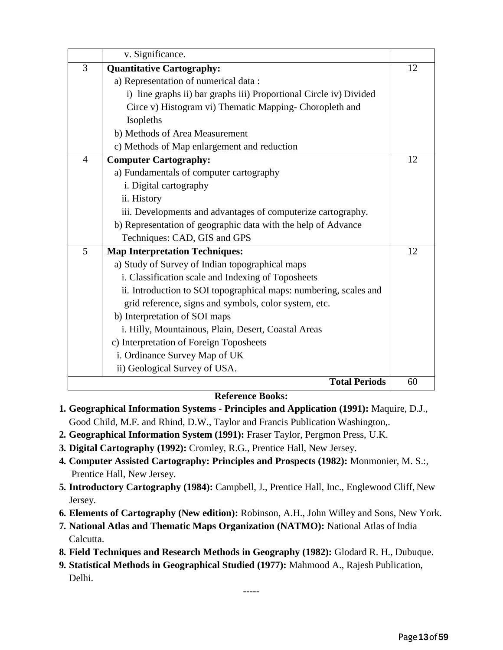|                | v. Significance.                                                   |    |
|----------------|--------------------------------------------------------------------|----|
| 3              | <b>Quantitative Cartography:</b>                                   | 12 |
|                | a) Representation of numerical data:                               |    |
|                | i) line graphs ii) bar graphs iii) Proportional Circle iv) Divided |    |
|                | Circe v) Histogram vi) Thematic Mapping- Choropleth and            |    |
|                | Isopleths                                                          |    |
|                | b) Methods of Area Measurement                                     |    |
|                | c) Methods of Map enlargement and reduction                        |    |
| $\overline{4}$ | <b>Computer Cartography:</b>                                       | 12 |
|                | a) Fundamentals of computer cartography                            |    |
|                | i. Digital cartography                                             |    |
|                | ii. History                                                        |    |
|                | iii. Developments and advantages of computerize cartography.       |    |
|                | b) Representation of geographic data with the help of Advance      |    |
|                | Techniques: CAD, GIS and GPS                                       |    |
| 5              | <b>Map Interpretation Techniques:</b>                              | 12 |
|                | a) Study of Survey of Indian topographical maps                    |    |
|                | i. Classification scale and Indexing of Toposheets                 |    |
|                | ii. Introduction to SOI topographical maps: numbering, scales and  |    |
|                | grid reference, signs and symbols, color system, etc.              |    |
|                | b) Interpretation of SOI maps                                      |    |
|                | i. Hilly, Mountainous, Plain, Desert, Coastal Areas                |    |
|                | c) Interpretation of Foreign Toposheets                            |    |
|                | i. Ordinance Survey Map of UK                                      |    |
|                | ii) Geological Survey of USA.                                      |    |
|                | <b>Total Periods</b>                                               | 60 |

#### **Reference Books:**

- **1. Geographical Information Systems - Principles and Application (1991):** Maquire, D.J., Good Child, M.F. and Rhind, D.W., Taylor and Francis Publication Washington,.
- **2. Geographical Information System (1991):** Fraser Taylor, Pergmon Press, U.K.
- **3. Digital Cartography (1992):** Cromley, R.G., Prentice Hall, New Jersey.
- **4. Computer Assisted Cartography: Principles and Prospects (1982):** Monmonier, M. S.:, Prentice Hall, New Jersey.
- **5. Introductory Cartography (1984):** Campbell, J., Prentice Hall, Inc., Englewood Cliff, New Jersey.
- **6. Elements of Cartography (New edition):** Robinson, A.H., John Willey and Sons, New York.
- **7. National Atlas and Thematic Maps Organization (NATMO):** National Atlas of India Calcutta.
- **8. Field Techniques and Research Methods in Geography (1982):** Glodard R. H., Dubuque.
- **9. Statistical Methods in Geographical Studied (1977):** Mahmood A., Rajesh Publication, Delhi.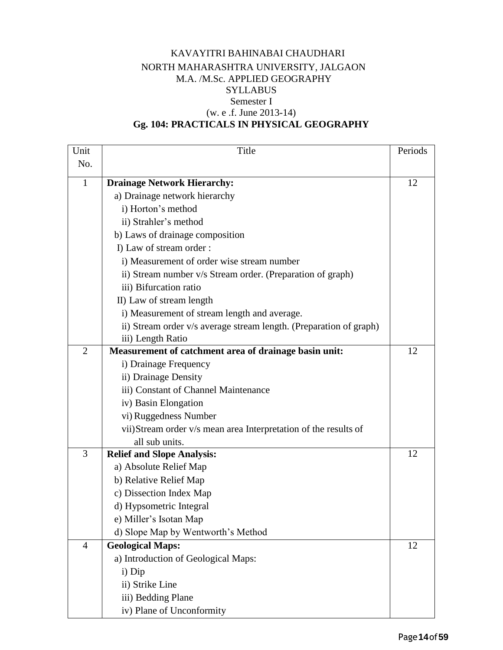#### KAVAYITRI BAHINABAI CHAUDHARI NORTH MAHARASHTRA UNIVERSITY, JALGAON M.A. /M.Sc. APPLIED GEOGRAPHY **SYLLABUS** Semester I (w. e .f. June 2013-14) **Gg. 104: PRACTICALS IN PHYSICAL GEOGRAPHY**

#### **Unit** No. Title Periods 1 **Drainage Network Hierarchy:** a) Drainage network hierarchy i) Horton's method ii) Strahler's method b) Laws of drainage composition I) Law of stream order : i) Measurement of order wise stream number ii) Stream number v/s Stream order. (Preparation of graph) iii) Bifurcation ratio II) Law of stream length i) Measurement of stream length and average. ii) Stream order v/s average stream length. (Preparation of graph) iii) Length Ratio 12 2 **Measurement of catchment area of drainage basin unit:** i) Drainage Frequency ii) Drainage Density iii) Constant of Channel Maintenance iv) Basin Elongation vi) Ruggedness Number vii)Stream order v/s mean area Interpretation of the results of all sub units. 12 3 **Relief and Slope Analysis:** a) Absolute Relief Map b) Relative Relief Map c) Dissection Index Map d) Hypsometric Integral e) Miller's Isotan Map d) Slope Map by Wentworth's Method 12 4 **Geological Maps:** a) Introduction of Geological Maps: i) Dip ii) Strike Line 12

iii) Bedding Plane

iv) Plane of Unconformity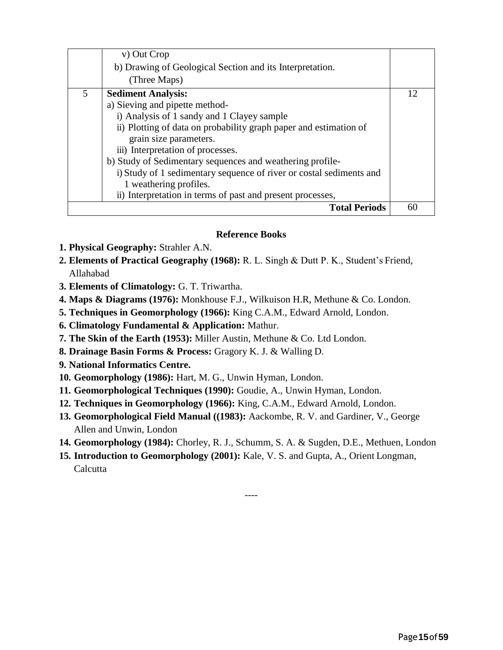|   | v) Out Crop                                                         |    |
|---|---------------------------------------------------------------------|----|
|   | b) Drawing of Geological Section and its Interpretation.            |    |
|   | (Three Maps)                                                        |    |
| 5 | <b>Sediment Analysis:</b>                                           | 12 |
|   | a) Sieving and pipette method-                                      |    |
|   | i) Analysis of 1 sandy and 1 Clayey sample                          |    |
|   | ii) Plotting of data on probability graph paper and estimation of   |    |
|   | grain size parameters.                                              |    |
|   | iii) Interpretation of processes.                                   |    |
|   | b) Study of Sedimentary sequences and weathering profile-           |    |
|   | i) Study of 1 sedimentary sequence of river or costal sediments and |    |
|   | 1 weathering profiles.                                              |    |
|   | ii) Interpretation in terms of past and present processes,          |    |
|   | <b>Total Periods</b>                                                | 60 |

#### **Reference Books**

- **1. Physical Geography:** Strahler A.N.
- **2. Elements of Practical Geography (1968):** R. L. Singh & Dutt P. K., Student's Friend, Allahabad
- **3. Elements of Climatology:** G. T. Triwartha.
- **4. Maps & Diagrams (1976):** Monkhouse F.J., Wilkuison H.R, Methune & Co. London.
- **5. Techniques in Geomorphology (1966):** King C.A.M., Edward Arnold, London.
- **6. Climatology Fundamental & Application:** Mathur.
- **7. The Skin of the Earth (1953):** Miller Austin, Methune & Co. Ltd London.
- **8. Drainage Basin Forms & Process:** Gragory K. J. & Walling D.
- **9. National Informatics Centre.**
- **10. Geomorphology (1986):** Hart, M. G., Unwin Hyman, London.
- **11. Geomorphological Techniques (1990):** Goudie, A., Unwin Hyman, London.
- **12. Techniques in Geomorphology (1966):** King, C.A.M., Edward Arnold, London.
- **13. Geomorphological Field Manual ((1983):** Aackombe, R. V. and Gardiner, V., George Allen and Unwin, London
- **14. Geomorphology (1984):** Chorley, R. J., Schumm, S. A. & Sugden, D.E., Methuen, London

----

**15. Introduction to Geomorphology (2001):** Kale, V. S. and Gupta, A., Orient Longman, **Calcutta**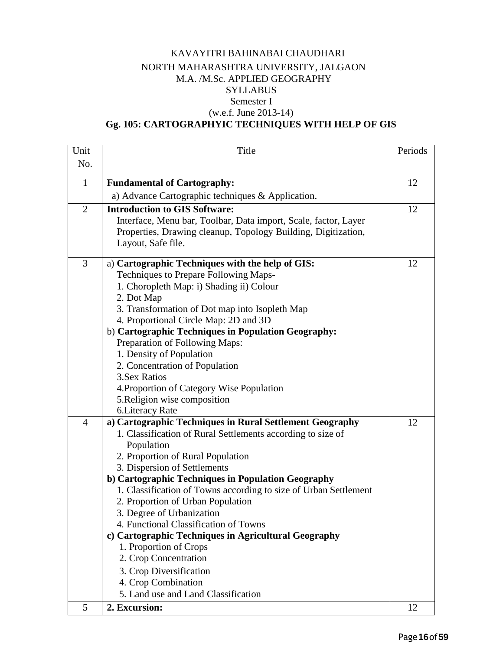#### KAVAYITRI BAHINABAI CHAUDHARI NORTH MAHARASHTRA UNIVERSITY, JALGAON M.A. /M.Sc. APPLIED GEOGRAPHY SYLLABUS Semester I (w.e.f. June 2013-14)

## **Gg. 105: CARTOGRAPHYIC TECHNIQUES WITH HELP OF GIS**

| Unit           | Title                                                            | Periods |
|----------------|------------------------------------------------------------------|---------|
| No.            |                                                                  |         |
|                |                                                                  |         |
| $\mathbf{1}$   | <b>Fundamental of Cartography:</b>                               | 12      |
|                | a) Advance Cartographic techniques & Application.                |         |
| $\overline{2}$ | <b>Introduction to GIS Software:</b>                             | 12      |
|                | Interface, Menu bar, Toolbar, Data import, Scale, factor, Layer  |         |
|                | Properties, Drawing cleanup, Topology Building, Digitization,    |         |
|                | Layout, Safe file.                                               |         |
| 3              | a) Cartographic Techniques with the help of GIS:                 | 12      |
|                | Techniques to Prepare Following Maps-                            |         |
|                | 1. Choropleth Map: i) Shading ii) Colour                         |         |
|                | 2. Dot Map                                                       |         |
|                | 3. Transformation of Dot map into Isopleth Map                   |         |
|                | 4. Proportional Circle Map: 2D and 3D                            |         |
|                | b) Cartographic Techniques in Population Geography:              |         |
|                | Preparation of Following Maps:                                   |         |
|                | 1. Density of Population                                         |         |
|                | 2. Concentration of Population                                   |         |
|                | 3. Sex Ratios                                                    |         |
|                | 4. Proportion of Category Wise Population                        |         |
|                | 5. Religion wise composition                                     |         |
|                | 6. Literacy Rate                                                 |         |
| $\overline{4}$ | a) Cartographic Techniques in Rural Settlement Geography         | 12      |
|                | 1. Classification of Rural Settlements according to size of      |         |
|                | Population                                                       |         |
|                | 2. Proportion of Rural Population                                |         |
|                | 3. Dispersion of Settlements                                     |         |
|                | b) Cartographic Techniques in Population Geography               |         |
|                | 1. Classification of Towns according to size of Urban Settlement |         |
|                | 2. Proportion of Urban Population                                |         |
|                | 3. Degree of Urbanization                                        |         |
|                | 4. Functional Classification of Towns                            |         |
|                | c) Cartographic Techniques in Agricultural Geography             |         |
|                | 1. Proportion of Crops                                           |         |
|                | 2. Crop Concentration                                            |         |
|                | 3. Crop Diversification                                          |         |
|                | 4. Crop Combination                                              |         |
|                | 5. Land use and Land Classification                              |         |
| 5              | 2. Excursion:                                                    | 12      |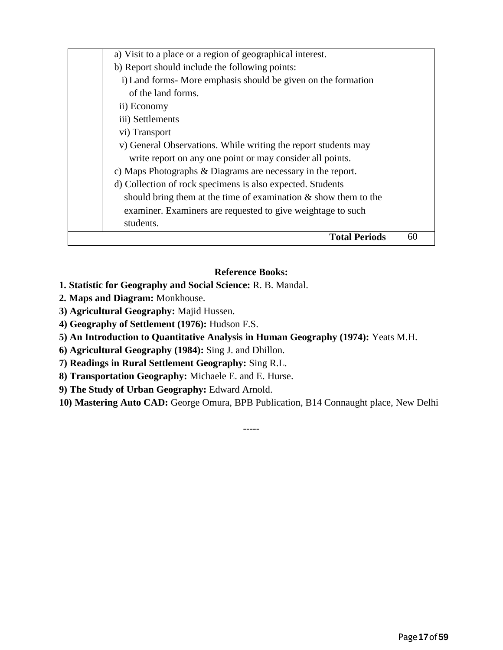| a) Visit to a place or a region of geographical interest.          |    |
|--------------------------------------------------------------------|----|
| b) Report should include the following points:                     |    |
| i) Land forms- More emphasis should be given on the formation      |    |
| of the land forms.                                                 |    |
| ii) Economy                                                        |    |
| iii) Settlements                                                   |    |
| vi) Transport                                                      |    |
| v) General Observations. While writing the report students may     |    |
| write report on any one point or may consider all points.          |    |
| c) Maps Photographs & Diagrams are necessary in the report.        |    |
| d) Collection of rock specimens is also expected. Students         |    |
| should bring them at the time of examination $\&$ show them to the |    |
| examiner. Examiners are requested to give weightage to such        |    |
| students.                                                          |    |
| <b>Total Periods</b>                                               | 60 |

#### **Reference Books:**

- **1. Statistic for Geography and Social Science:** R. B. Mandal.
- **2. Maps and Diagram:** Monkhouse.
- **3) Agricultural Geography:** Majid Hussen.
- **4) Geography of Settlement (1976):** Hudson F.S.
- **5) An Introduction to Quantitative Analysis in Human Geography (1974):** Yeats M.H.
- **6) Agricultural Geography (1984):** Sing J. and Dhillon.
- **7) Readings in Rural Settlement Geography:** Sing R.L.
- **8) Transportation Geography:** Michaele E. and E. Hurse.
- **9) The Study of Urban Geography:** Edward Arnold.
- **10) Mastering Auto CAD:** George Omura, BPB Publication, B14 Connaught place, New Delhi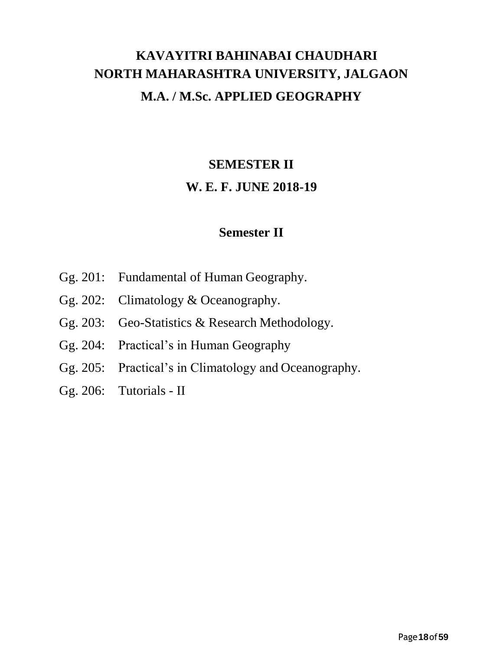# **KAVAYITRI BAHINABAI CHAUDHARI NORTH MAHARASHTRA UNIVERSITY, JALGAON M.A. / M.Sc. APPLIED GEOGRAPHY**

# **SEMESTER II W. E. F. JUNE 2018-19**

## **Semester II**

- Gg. 201: Fundamental of Human Geography.
- Gg. 202: Climatology & Oceanography.
- Gg. 203: Geo-Statistics & Research Methodology.
- Gg. 204: Practical's in Human Geography
- Gg. 205: Practical's in Climatology and Oceanography.
- Gg. 206: Tutorials II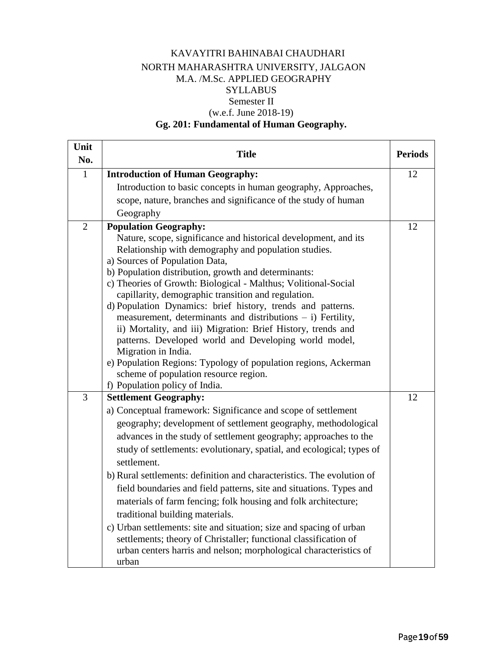#### KAVAYITRI BAHINABAI CHAUDHARI NORTH MAHARASHTRA UNIVERSITY, JALGAON M.A. /M.Sc. APPLIED GEOGRAPHY SYLLABUS Semester II (w.e.f. June 2018-19)

## **Gg. 201: Fundamental of Human Geography.**

| Unit<br>No.    | <b>Title</b>                                                                                                                                                                                                                                                                                                                                                                                                                                                                                                                                                                                                                                                                                                                                                                                                                                                                                                                                                                                                                                                                                                                                                            | <b>Periods</b> |
|----------------|-------------------------------------------------------------------------------------------------------------------------------------------------------------------------------------------------------------------------------------------------------------------------------------------------------------------------------------------------------------------------------------------------------------------------------------------------------------------------------------------------------------------------------------------------------------------------------------------------------------------------------------------------------------------------------------------------------------------------------------------------------------------------------------------------------------------------------------------------------------------------------------------------------------------------------------------------------------------------------------------------------------------------------------------------------------------------------------------------------------------------------------------------------------------------|----------------|
| $\mathbf{1}$   | <b>Introduction of Human Geography:</b>                                                                                                                                                                                                                                                                                                                                                                                                                                                                                                                                                                                                                                                                                                                                                                                                                                                                                                                                                                                                                                                                                                                                 | 12             |
|                | Introduction to basic concepts in human geography, Approaches,                                                                                                                                                                                                                                                                                                                                                                                                                                                                                                                                                                                                                                                                                                                                                                                                                                                                                                                                                                                                                                                                                                          |                |
|                | scope, nature, branches and significance of the study of human                                                                                                                                                                                                                                                                                                                                                                                                                                                                                                                                                                                                                                                                                                                                                                                                                                                                                                                                                                                                                                                                                                          |                |
|                | Geography                                                                                                                                                                                                                                                                                                                                                                                                                                                                                                                                                                                                                                                                                                                                                                                                                                                                                                                                                                                                                                                                                                                                                               |                |
| $\overline{2}$ | <b>Population Geography:</b>                                                                                                                                                                                                                                                                                                                                                                                                                                                                                                                                                                                                                                                                                                                                                                                                                                                                                                                                                                                                                                                                                                                                            | 12             |
|                | Nature, scope, significance and historical development, and its                                                                                                                                                                                                                                                                                                                                                                                                                                                                                                                                                                                                                                                                                                                                                                                                                                                                                                                                                                                                                                                                                                         |                |
|                | Relationship with demography and population studies.                                                                                                                                                                                                                                                                                                                                                                                                                                                                                                                                                                                                                                                                                                                                                                                                                                                                                                                                                                                                                                                                                                                    |                |
|                | a) Sources of Population Data,                                                                                                                                                                                                                                                                                                                                                                                                                                                                                                                                                                                                                                                                                                                                                                                                                                                                                                                                                                                                                                                                                                                                          |                |
|                | b) Population distribution, growth and determinants:<br>c) Theories of Growth: Biological - Malthus; Volitional-Social                                                                                                                                                                                                                                                                                                                                                                                                                                                                                                                                                                                                                                                                                                                                                                                                                                                                                                                                                                                                                                                  |                |
|                |                                                                                                                                                                                                                                                                                                                                                                                                                                                                                                                                                                                                                                                                                                                                                                                                                                                                                                                                                                                                                                                                                                                                                                         |                |
|                |                                                                                                                                                                                                                                                                                                                                                                                                                                                                                                                                                                                                                                                                                                                                                                                                                                                                                                                                                                                                                                                                                                                                                                         |                |
|                |                                                                                                                                                                                                                                                                                                                                                                                                                                                                                                                                                                                                                                                                                                                                                                                                                                                                                                                                                                                                                                                                                                                                                                         |                |
|                | ii) Mortality, and iii) Migration: Brief History, trends and                                                                                                                                                                                                                                                                                                                                                                                                                                                                                                                                                                                                                                                                                                                                                                                                                                                                                                                                                                                                                                                                                                            |                |
|                | patterns. Developed world and Developing world model,                                                                                                                                                                                                                                                                                                                                                                                                                                                                                                                                                                                                                                                                                                                                                                                                                                                                                                                                                                                                                                                                                                                   |                |
|                |                                                                                                                                                                                                                                                                                                                                                                                                                                                                                                                                                                                                                                                                                                                                                                                                                                                                                                                                                                                                                                                                                                                                                                         |                |
|                |                                                                                                                                                                                                                                                                                                                                                                                                                                                                                                                                                                                                                                                                                                                                                                                                                                                                                                                                                                                                                                                                                                                                                                         |                |
|                |                                                                                                                                                                                                                                                                                                                                                                                                                                                                                                                                                                                                                                                                                                                                                                                                                                                                                                                                                                                                                                                                                                                                                                         |                |
|                |                                                                                                                                                                                                                                                                                                                                                                                                                                                                                                                                                                                                                                                                                                                                                                                                                                                                                                                                                                                                                                                                                                                                                                         |                |
|                |                                                                                                                                                                                                                                                                                                                                                                                                                                                                                                                                                                                                                                                                                                                                                                                                                                                                                                                                                                                                                                                                                                                                                                         |                |
|                |                                                                                                                                                                                                                                                                                                                                                                                                                                                                                                                                                                                                                                                                                                                                                                                                                                                                                                                                                                                                                                                                                                                                                                         |                |
|                |                                                                                                                                                                                                                                                                                                                                                                                                                                                                                                                                                                                                                                                                                                                                                                                                                                                                                                                                                                                                                                                                                                                                                                         |                |
|                |                                                                                                                                                                                                                                                                                                                                                                                                                                                                                                                                                                                                                                                                                                                                                                                                                                                                                                                                                                                                                                                                                                                                                                         |                |
|                |                                                                                                                                                                                                                                                                                                                                                                                                                                                                                                                                                                                                                                                                                                                                                                                                                                                                                                                                                                                                                                                                                                                                                                         |                |
|                |                                                                                                                                                                                                                                                                                                                                                                                                                                                                                                                                                                                                                                                                                                                                                                                                                                                                                                                                                                                                                                                                                                                                                                         |                |
|                |                                                                                                                                                                                                                                                                                                                                                                                                                                                                                                                                                                                                                                                                                                                                                                                                                                                                                                                                                                                                                                                                                                                                                                         |                |
|                |                                                                                                                                                                                                                                                                                                                                                                                                                                                                                                                                                                                                                                                                                                                                                                                                                                                                                                                                                                                                                                                                                                                                                                         |                |
|                |                                                                                                                                                                                                                                                                                                                                                                                                                                                                                                                                                                                                                                                                                                                                                                                                                                                                                                                                                                                                                                                                                                                                                                         |                |
|                |                                                                                                                                                                                                                                                                                                                                                                                                                                                                                                                                                                                                                                                                                                                                                                                                                                                                                                                                                                                                                                                                                                                                                                         |                |
|                |                                                                                                                                                                                                                                                                                                                                                                                                                                                                                                                                                                                                                                                                                                                                                                                                                                                                                                                                                                                                                                                                                                                                                                         |                |
|                |                                                                                                                                                                                                                                                                                                                                                                                                                                                                                                                                                                                                                                                                                                                                                                                                                                                                                                                                                                                                                                                                                                                                                                         |                |
|                |                                                                                                                                                                                                                                                                                                                                                                                                                                                                                                                                                                                                                                                                                                                                                                                                                                                                                                                                                                                                                                                                                                                                                                         |                |
| 3              | capillarity, demographic transition and regulation.<br>d) Population Dynamics: brief history, trends and patterns.<br>measurement, determinants and distributions $- i$ ) Fertility,<br>Migration in India.<br>e) Population Regions: Typology of population regions, Ackerman<br>scheme of population resource region.<br>f) Population policy of India.<br><b>Settlement Geography:</b><br>a) Conceptual framework: Significance and scope of settlement<br>geography; development of settlement geography, methodological<br>advances in the study of settlement geography; approaches to the<br>study of settlements: evolutionary, spatial, and ecological; types of<br>settlement.<br>b) Rural settlements: definition and characteristics. The evolution of<br>field boundaries and field patterns, site and situations. Types and<br>materials of farm fencing; folk housing and folk architecture;<br>traditional building materials.<br>c) Urban settlements: site and situation; size and spacing of urban<br>settlements; theory of Christaller; functional classification of<br>urban centers harris and nelson; morphological characteristics of<br>urban | 12             |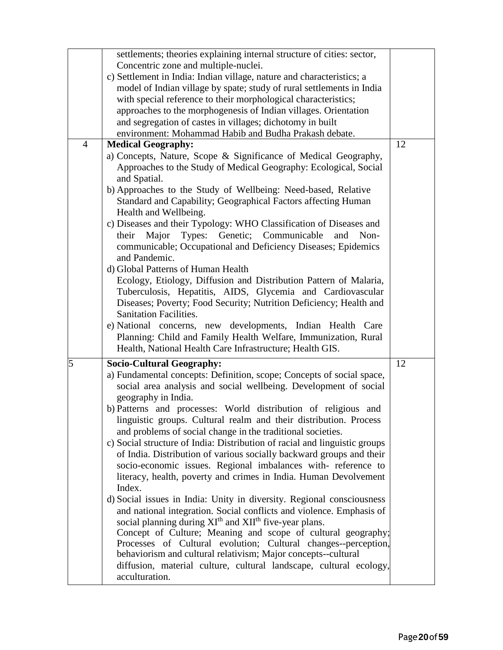|                | settlements; theories explaining internal structure of cities: sector,         |    |
|----------------|--------------------------------------------------------------------------------|----|
|                | Concentric zone and multiple-nuclei.                                           |    |
|                | c) Settlement in India: Indian village, nature and characteristics; a          |    |
|                | model of Indian village by spate; study of rural settlements in India          |    |
|                | with special reference to their morphological characteristics;                 |    |
|                | approaches to the morphogenesis of Indian villages. Orientation                |    |
|                | and segregation of castes in villages; dichotomy in built                      |    |
|                | environment: Mohammad Habib and Budha Prakash debate.                          |    |
| $\overline{4}$ | <b>Medical Geography:</b>                                                      | 12 |
|                | a) Concepts, Nature, Scope & Significance of Medical Geography,                |    |
|                | Approaches to the Study of Medical Geography: Ecological, Social               |    |
|                | and Spatial.                                                                   |    |
|                | b) Approaches to the Study of Wellbeing: Need-based, Relative                  |    |
|                | Standard and Capability; Geographical Factors affecting Human                  |    |
|                | Health and Wellbeing.                                                          |    |
|                | c) Diseases and their Typology: WHO Classification of Diseases and             |    |
|                | Major<br>Types:<br>Genetic;<br>Communicable<br>their<br>Non-<br>and            |    |
|                | communicable; Occupational and Deficiency Diseases; Epidemics                  |    |
|                | and Pandemic.                                                                  |    |
|                | d) Global Patterns of Human Health                                             |    |
|                | Ecology, Etiology, Diffusion and Distribution Pattern of Malaria,              |    |
|                | Tuberculosis, Hepatitis, AIDS, Glycemia and Cardiovascular                     |    |
|                | Diseases; Poverty; Food Security; Nutrition Deficiency; Health and             |    |
|                | <b>Sanitation Facilities.</b>                                                  |    |
|                | e) National concerns, new developments, Indian Health Care                     |    |
|                | Planning: Child and Family Health Welfare, Immunization, Rural                 |    |
|                | Health, National Health Care Infrastructure; Health GIS.                       |    |
| 5              | <b>Socio-Cultural Geography:</b>                                               | 12 |
|                | a) Fundamental concepts: Definition, scope; Concepts of social space,          |    |
|                | social area analysis and social wellbeing. Development of social               |    |
|                | geography in India.                                                            |    |
|                | b) Patterns and processes: World distribution of religious and                 |    |
|                | linguistic groups. Cultural realm and their distribution. Process              |    |
|                | and problems of social change in the traditional societies.                    |    |
|                | c) Social structure of India: Distribution of racial and linguistic groups     |    |
|                | of India. Distribution of various socially backward groups and their           |    |
|                | socio-economic issues. Regional imbalances with-reference to                   |    |
|                | literacy, health, poverty and crimes in India. Human Devolvement               |    |
|                | Index.                                                                         |    |
|                | d) Social issues in India: Unity in diversity. Regional consciousness          |    |
|                | and national integration. Social conflicts and violence. Emphasis of           |    |
|                | social planning during XI <sup>th</sup> and XII <sup>th</sup> five-year plans. |    |
|                | Concept of Culture; Meaning and scope of cultural geography;                   |    |
|                | Processes of Cultural evolution; Cultural changes--perception,                 |    |
|                | behaviorism and cultural relativism; Major concepts--cultural                  |    |
|                | diffusion, material culture, cultural landscape, cultural ecology,             |    |
|                | acculturation.                                                                 |    |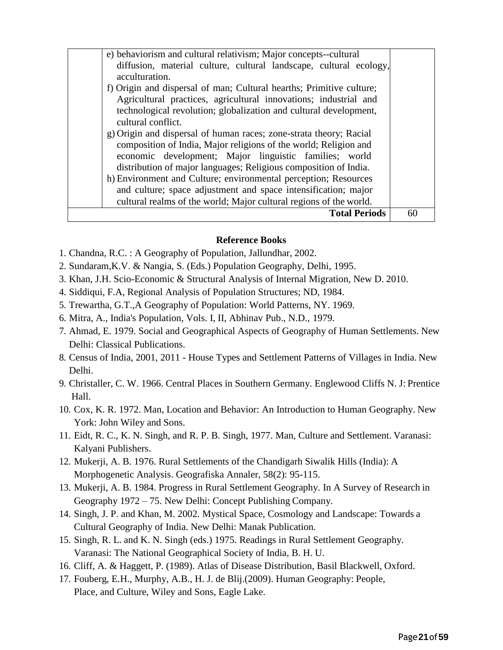| e) behaviorism and cultural relativism; Major concepts--cultural<br>diffusion, material culture, cultural landscape, cultural ecology,<br>acculturation.<br>f) Origin and dispersal of man; Cultural hearths; Primitive culture;<br>Agricultural practices, agricultural innovations; industrial and<br>technological revolution; globalization and cultural development,<br>cultural conflict.<br>g) Origin and dispersal of human races; zone-strata theory; Racial<br>composition of India, Major religions of the world; Religion and<br>economic development; Major linguistic families; world<br>distribution of major languages; Religious composition of India.<br>h) Environment and Culture; environmental perception; Resources<br>and culture; space adjustment and space intensification; major<br>cultural realms of the world; Major cultural regions of the world. |    |
|------------------------------------------------------------------------------------------------------------------------------------------------------------------------------------------------------------------------------------------------------------------------------------------------------------------------------------------------------------------------------------------------------------------------------------------------------------------------------------------------------------------------------------------------------------------------------------------------------------------------------------------------------------------------------------------------------------------------------------------------------------------------------------------------------------------------------------------------------------------------------------|----|
| <b>Total Periods</b>                                                                                                                                                                                                                                                                                                                                                                                                                                                                                                                                                                                                                                                                                                                                                                                                                                                               | 60 |

#### **Reference Books**

- 1. Chandna, R.C. : A Geography of Population, Jallundhar, 2002.
- 2. Sundaram,K.V. & Nangia, S. (Eds.) Population Geography, Delhi, 1995.
- 3. Khan, J.H. Scio-Economic & Structural Analysis of Internal Migration, New D. 2010.
- 4. Siddiqui, F.A, Regional Analysis of Population Structures; ND, 1984.
- 5. Trewartha, G.T.,A Geography of Population: World Patterns, NY. 1969.
- 6. Mitra, A., India's Population, Vols. I, II, Abhinav Pub., N.D., 1979.
- 7. Ahmad, E. 1979. Social and Geographical Aspects of Geography of Human Settlements. New Delhi: Classical Publications.
- 8. Census of India, 2001, 2011 House Types and Settlement Patterns of Villages in India. New Delhi.
- 9. Christaller, C. W. 1966. Central Places in Southern Germany. Englewood Cliffs N. J: Prentice Hall.
- 10. Cox, K. R. 1972. Man, Location and Behavior: An Introduction to Human Geography. New York: John Wiley and Sons.
- 11. Eidt, R. C., K. N. Singh, and R. P. B. Singh, 1977. Man, Culture and Settlement. Varanasi: Kalyani Publishers.
- 12. Mukerji, A. B. 1976. Rural Settlements of the Chandigarh Siwalik Hills (India): A Morphogenetic Analysis. Geografiska Annaler, 58(2): 95-115.
- 13. Mukerji, A. B. 1984. Progress in Rural Settlement Geography. In A Survey of Research in Geography 1972 – 75. New Delhi: Concept Publishing Company.
- 14. Singh, J. P. and Khan, M. 2002. Mystical Space, Cosmology and Landscape: Towards a Cultural Geography of India. New Delhi: Manak Publication.
- 15. Singh, R. L. and K. N. Singh (eds.) 1975. Readings in Rural Settlement Geography. Varanasi: The National Geographical Society of India, B. H. U.
- 16. Cliff, A. & Haggett, P. (1989). Atlas of Disease Distribution, Basil Blackwell, Oxford.
- 17. Fouberg, E.H., Murphy, A.B., H. J. de Blij.(2009). Human Geography: People, Place, and Culture, Wiley and Sons, Eagle Lake.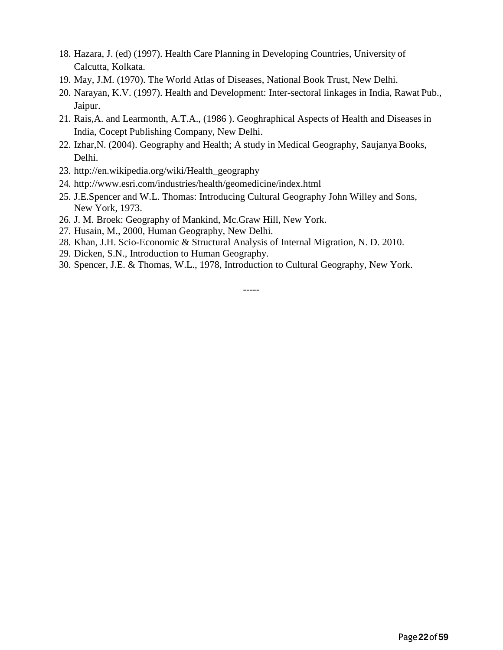- 18. Hazara, J. (ed) (1997). Health Care Planning in Developing Countries, University of Calcutta, Kolkata.
- 19. May, J.M. (1970). The World Atlas of Diseases, National Book Trust, New Delhi.
- 20. Narayan, K.V. (1997). Health and Development: Inter-sectoral linkages in India, Rawat Pub., Jaipur.
- 21. Rais,A. and Learmonth, A.T.A., (1986 ). Geoghraphical Aspects of Health and Diseases in India, Cocept Publishing Company, New Delhi.
- 22. Izhar,N. (2004). Geography and Health; A study in Medical Geography, Saujanya Books, Delhi.
- 23. [http://en.wikipedia.org/wiki/Health\\_geography](http://en.wikipedia.org/wiki/Health_geography)
- 24. <http://www.esri.com/industries/health/geomedicine/index.html>
- 25. J.E.Spencer and W.L. Thomas: Introducing Cultural Geography John Willey and Sons, New York, 1973.
- 26. J. M. Broek: Geography of Mankind, Mc.Graw Hill, New York.
- 27. Husain, M., 2000, Human Geography, New Delhi.
- 28. Khan, J.H. Scio-Economic & Structural Analysis of Internal Migration, N. D. 2010.
- 29. Dicken, S.N., Introduction to Human Geography.
- 30. Spencer, J.E. & Thomas, W.L., 1978, Introduction to Cultural Geography, New York.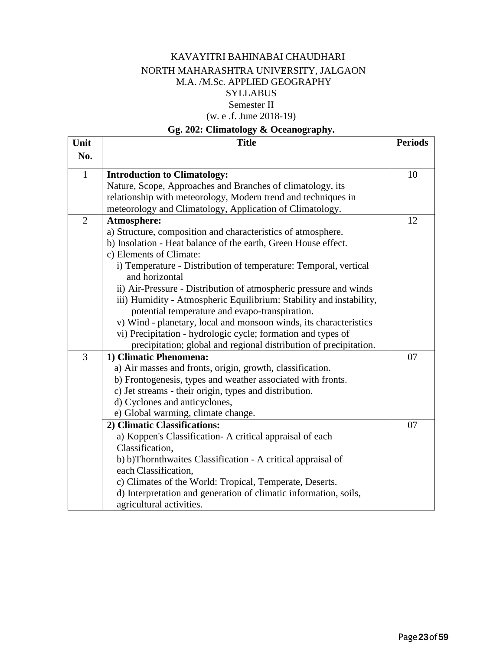#### KAVAYITRI BAHINABAI CHAUDHARI NORTH MAHARASHTRA UNIVERSITY, JALGAON M.A. /M.Sc. APPLIED GEOGRAPHY **SYLLABUS** Semester II (w. e .f. June 2018-19)

#### **Gg. 202: Climatology & Oceanography.**

| Unit           | <b>Title</b>                                                        | <b>Periods</b> |
|----------------|---------------------------------------------------------------------|----------------|
| No.            |                                                                     |                |
| $\mathbf{1}$   | <b>Introduction to Climatology:</b>                                 | 10             |
|                | Nature, Scope, Approaches and Branches of climatology, its          |                |
|                | relationship with meteorology, Modern trend and techniques in       |                |
|                | meteorology and Climatology, Application of Climatology.            |                |
| $\overline{2}$ | Atmosphere:                                                         | 12             |
|                | a) Structure, composition and characteristics of atmosphere.        |                |
|                | b) Insolation - Heat balance of the earth, Green House effect.      |                |
|                | c) Elements of Climate:                                             |                |
|                | i) Temperature - Distribution of temperature: Temporal, vertical    |                |
|                | and horizontal                                                      |                |
|                | ii) Air-Pressure - Distribution of atmospheric pressure and winds   |                |
|                | iii) Humidity - Atmospheric Equilibrium: Stability and instability, |                |
|                | potential temperature and evapo-transpiration.                      |                |
|                | v) Wind - planetary, local and monsoon winds, its characteristics   |                |
|                | vi) Precipitation - hydrologic cycle; formation and types of        |                |
|                | precipitation; global and regional distribution of precipitation.   |                |
| $\overline{3}$ | 1) Climatic Phenomena:                                              | 07             |
|                | a) Air masses and fronts, origin, growth, classification.           |                |
|                | b) Frontogenesis, types and weather associated with fronts.         |                |
|                | c) Jet streams - their origin, types and distribution.              |                |
|                | d) Cyclones and anticyclones,                                       |                |
|                | e) Global warming, climate change.                                  |                |
|                | 2) Climatic Classifications:                                        | 07             |
|                | a) Koppen's Classification-A critical appraisal of each             |                |
|                | Classification,                                                     |                |
|                | b) b)Thornthwaites Classification - A critical appraisal of         |                |
|                | each Classification,                                                |                |
|                | c) Climates of the World: Tropical, Temperate, Deserts.             |                |
|                | d) Interpretation and generation of climatic information, soils,    |                |
|                | agricultural activities.                                            |                |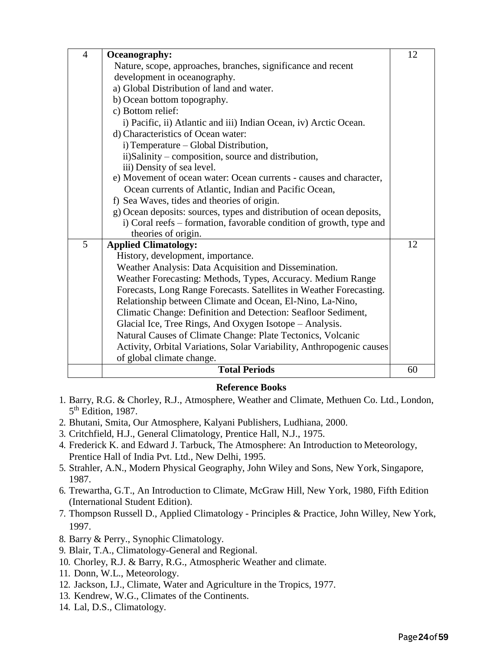| $\overline{4}$ | Oceanography:                                                         | 12 |
|----------------|-----------------------------------------------------------------------|----|
|                | Nature, scope, approaches, branches, significance and recent          |    |
|                | development in oceanography.                                          |    |
|                | a) Global Distribution of land and water.                             |    |
|                | b) Ocean bottom topography.                                           |    |
|                | c) Bottom relief:                                                     |    |
|                | i) Pacific, ii) Atlantic and iii) Indian Ocean, iv) Arctic Ocean.     |    |
|                | d) Characteristics of Ocean water:                                    |    |
|                | i) Temperature – Global Distribution,                                 |    |
|                | ii)Salinity – composition, source and distribution,                   |    |
|                | iii) Density of sea level.                                            |    |
|                | e) Movement of ocean water: Ocean currents - causes and character,    |    |
|                | Ocean currents of Atlantic, Indian and Pacific Ocean,                 |    |
|                | f) Sea Waves, tides and theories of origin.                           |    |
|                | g) Ocean deposits: sources, types and distribution of ocean deposits, |    |
|                | i) Coral reefs – formation, favorable condition of growth, type and   |    |
|                | theories of origin.                                                   |    |
| 5              | <b>Applied Climatology:</b>                                           | 12 |
|                | History, development, importance.                                     |    |
|                | Weather Analysis: Data Acquisition and Dissemination.                 |    |
|                | Weather Forecasting: Methods, Types, Accuracy. Medium Range           |    |
|                | Forecasts, Long Range Forecasts. Satellites in Weather Forecasting.   |    |
|                | Relationship between Climate and Ocean, El-Nino, La-Nino,             |    |
|                | Climatic Change: Definition and Detection: Seafloor Sediment,         |    |
|                | Glacial Ice, Tree Rings, And Oxygen Isotope - Analysis.               |    |
|                | Natural Causes of Climate Change: Plate Tectonics, Volcanic           |    |
|                | Activity, Orbital Variations, Solar Variability, Anthropogenic causes |    |
|                | of global climate change.                                             |    |
|                | <b>Total Periods</b>                                                  | 60 |

#### **Reference Books**

- 1. Barry, R.G. & Chorley, R.J., Atmosphere, Weather and Climate, Methuen Co. Ltd., London, 5<sup>th</sup> Edition, 1987.
- 2. Bhutani, Smita, Our Atmosphere, Kalyani Publishers, Ludhiana, 2000.
- 3. Critchfield, H.J., General Climatology, Prentice Hall, N.J., 1975.
- 4. Frederick K. and Edward J. Tarbuck, The Atmosphere: An Introduction to Meteorology, Prentice Hall of India Pvt. Ltd., New Delhi, 1995.
- 5. Strahler, A.N., Modern Physical Geography, John Wiley and Sons, New York, Singapore, 1987.
- 6. Trewartha, G.T., An Introduction to Climate, McGraw Hill, New York, 1980, Fifth Edition (International Student Edition).
- 7. Thompson Russell D., Applied Climatology Principles & Practice, John Willey, New York, 1997.
- 8. Barry & Perry., Synophic Climatology.
- 9. Blair, T.A., Climatology-General and Regional.
- 10. Chorley, R.J. & Barry, R.G., Atmospheric Weather and climate.
- 11. Donn, W.L., Meteorology.
- 12. Jackson, I.J., Climate, Water and Agriculture in the Tropics, 1977.
- 13. Kendrew, W.G., Climates of the Continents.
- 14. Lal, D.S., Climatology.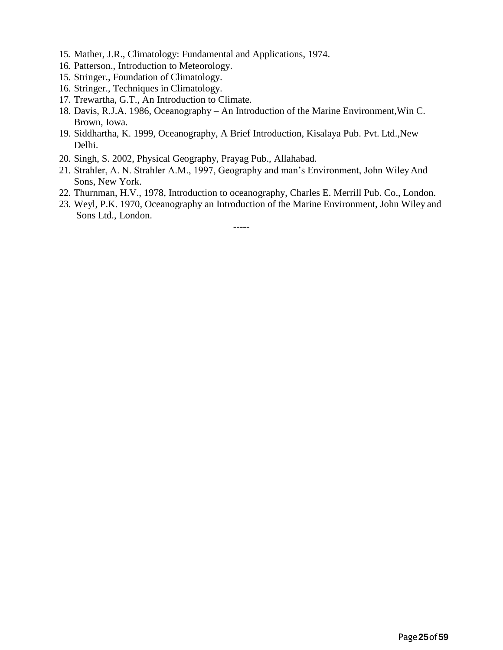- 15. Mather, J.R., Climatology: Fundamental and Applications, 1974.
- 16. Patterson., Introduction to Meteorology.
- 15. Stringer., Foundation of Climatology.
- 16. Stringer., Techniques in Climatology.
- 17. Trewartha, G.T., An Introduction to Climate.
- 18. Davis, R.J.A. 1986, Oceanography An Introduction of the Marine Environment,Win C. Brown, Iowa.
- 19. Siddhartha, K. 1999, Oceanography, A Brief Introduction, Kisalaya Pub. Pvt. Ltd.,New Delhi.
- 20. Singh, S. 2002, Physical Geography, Prayag Pub., Allahabad.
- 21. Strahler, A. N. Strahler A.M., 1997, Geography and man's Environment, John WileyAnd Sons, New York.
- 22. Thurnman, H.V., 1978, Introduction to oceanography, Charles E. Merrill Pub. Co., London.
- 23. Weyl, P.K. 1970, Oceanography an Introduction of the Marine Environment, John Wiley and Sons Ltd., London.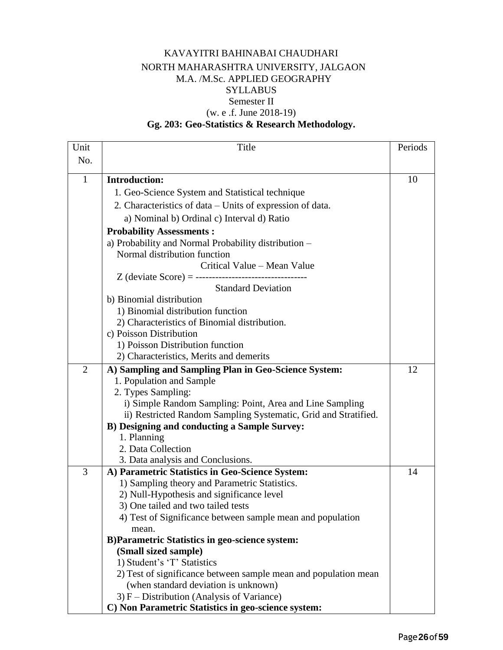#### KAVAYITRI BAHINABAI CHAUDHARI NORTH MAHARASHTRA UNIVERSITY, JALGAON M.A. /M.Sc. APPLIED GEOGRAPHY SYLLABUS Semester II (w. e .f. June 2018-19)

#### **Gg. 203: Geo-Statistics & Research Methodology.**

| Unit           | Title                                                           | Periods |
|----------------|-----------------------------------------------------------------|---------|
| No.            |                                                                 |         |
|                |                                                                 |         |
| $\mathbf{1}$   | <b>Introduction:</b>                                            | 10      |
|                | 1. Geo-Science System and Statistical technique                 |         |
|                | 2. Characteristics of data – Units of expression of data.       |         |
|                | a) Nominal b) Ordinal c) Interval d) Ratio                      |         |
|                | <b>Probability Assessments:</b>                                 |         |
|                | a) Probability and Normal Probability distribution -            |         |
|                | Normal distribution function                                    |         |
|                | Critical Value – Mean Value                                     |         |
|                |                                                                 |         |
|                | <b>Standard Deviation</b>                                       |         |
|                | b) Binomial distribution                                        |         |
|                | 1) Binomial distribution function                               |         |
|                | 2) Characteristics of Binomial distribution.                    |         |
|                | c) Poisson Distribution                                         |         |
|                | 1) Poisson Distribution function                                |         |
|                | 2) Characteristics, Merits and demerits                         |         |
| $\overline{2}$ | A) Sampling and Sampling Plan in Geo-Science System:            | 12      |
|                | 1. Population and Sample                                        |         |
|                | 2. Types Sampling:                                              |         |
|                | i) Simple Random Sampling: Point, Area and Line Sampling        |         |
|                | ii) Restricted Random Sampling Systematic, Grid and Stratified. |         |
|                | <b>B)</b> Designing and conducting a Sample Survey:             |         |
|                | 1. Planning                                                     |         |
|                | 2. Data Collection                                              |         |
|                | 3. Data analysis and Conclusions.                               |         |
| 3              | A) Parametric Statistics in Geo-Science System:                 | 14      |
|                | 1) Sampling theory and Parametric Statistics.                   |         |
|                | 2) Null-Hypothesis and significance level                       |         |
|                | 3) One tailed and two tailed tests                              |         |
|                | 4) Test of Significance between sample mean and population      |         |
|                | mean.                                                           |         |
|                | <b>B)Parametric Statistics in geo-science system:</b>           |         |
|                | (Small sized sample)                                            |         |
|                | 1) Student's 'T' Statistics                                     |         |
|                | 2) Test of significance between sample mean and population mean |         |
|                | (when standard deviation is unknown)                            |         |
|                | $3) F - Distribution (Analysis of Variance)$                    |         |
|                | C) Non Parametric Statistics in geo-science system:             |         |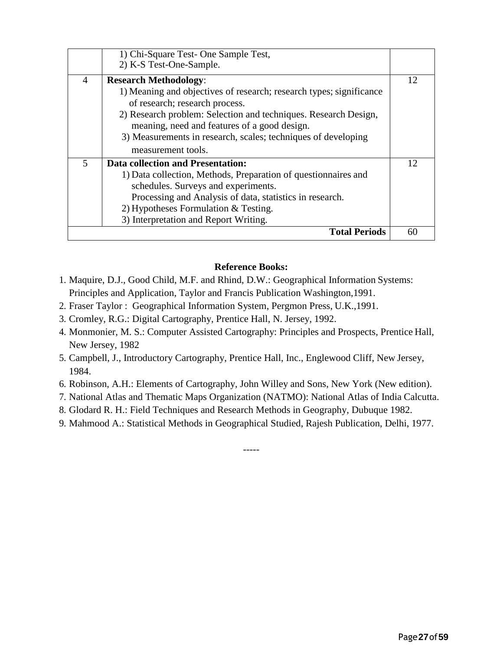|                | 1) Chi-Square Test- One Sample Test,                                |    |
|----------------|---------------------------------------------------------------------|----|
|                | 2) K-S Test-One-Sample.                                             |    |
| $\overline{A}$ | <b>Research Methodology:</b>                                        | 12 |
|                | 1) Meaning and objectives of research; research types; significance |    |
|                | of research; research process.                                      |    |
|                | 2) Research problem: Selection and techniques. Research Design,     |    |
|                | meaning, need and features of a good design.                        |    |
|                | 3) Measurements in research, scales; techniques of developing       |    |
|                | measurement tools.                                                  |    |
| 5              | <b>Data collection and Presentation:</b>                            | 12 |
|                | 1) Data collection, Methods, Preparation of questionnaires and      |    |
|                | schedules. Surveys and experiments.                                 |    |
|                | Processing and Analysis of data, statistics in research.            |    |
|                | 2) Hypotheses Formulation & Testing.                                |    |
|                | 3) Interpretation and Report Writing.                               |    |
|                | <b>Total Periods</b>                                                | 60 |

#### **Reference Books:**

- 1. Maquire, D.J., Good Child, M.F. and Rhind, D.W.: Geographical Information Systems: Principles and Application, Taylor and Francis Publication Washington,1991.
- 2. Fraser Taylor : Geographical Information System, Pergmon Press, U.K.,1991.
- 3. Cromley, R.G.: Digital Cartography, Prentice Hall, N. Jersey, 1992.
- 4. Monmonier, M. S.: Computer Assisted Cartography: Principles and Prospects, Prentice Hall, New Jersey, 1982
- 5. Campbell, J., Introductory Cartography, Prentice Hall, Inc., Englewood Cliff, New Jersey, 1984.
- 6. Robinson, A.H.: Elements of Cartography, John Willey and Sons, New York (New edition).
- 7. National Atlas and Thematic Maps Organization (NATMO): National Atlas of India Calcutta.
- 8. Glodard R. H.: Field Techniques and Research Methods in Geography, Dubuque 1982.
- 9. Mahmood A.: Statistical Methods in Geographical Studied, Rajesh Publication, Delhi, 1977.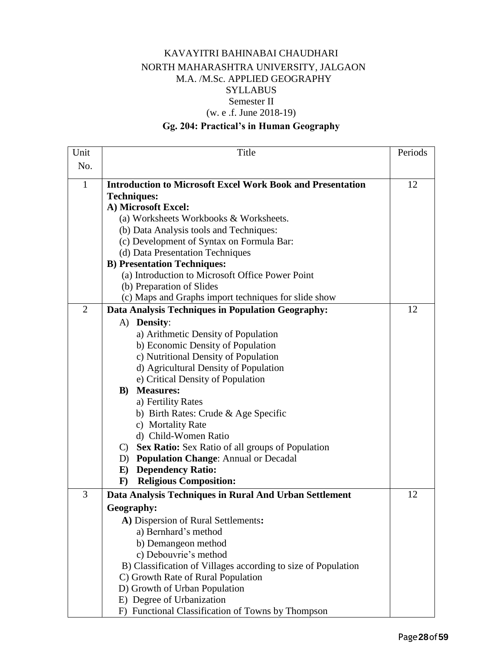#### KAVAYITRI BAHINABAI CHAUDHARI NORTH MAHARASHTRA UNIVERSITY, JALGAON M.A. /M.Sc. APPLIED GEOGRAPHY SYLLABUS Semester II (w. e .f. June 2018-19)

#### **Gg. 204: Practical's in Human Geography**

| Unit           | Title                                                             | Periods |
|----------------|-------------------------------------------------------------------|---------|
| No.            |                                                                   |         |
| $\mathbf{1}$   | <b>Introduction to Microsoft Excel Work Book and Presentation</b> | 12      |
|                | <b>Techniques:</b>                                                |         |
|                | A) Microsoft Excel:                                               |         |
|                | (a) Worksheets Workbooks & Worksheets.                            |         |
|                | (b) Data Analysis tools and Techniques:                           |         |
|                | (c) Development of Syntax on Formula Bar:                         |         |
|                | (d) Data Presentation Techniques                                  |         |
|                | <b>B)</b> Presentation Techniques:                                |         |
|                | (a) Introduction to Microsoft Office Power Point                  |         |
|                | (b) Preparation of Slides                                         |         |
|                | (c) Maps and Graphs import techniques for slide show              |         |
| $\overline{2}$ | Data Analysis Techniques in Population Geography:                 | 12      |
|                | A) Density:                                                       |         |
|                | a) Arithmetic Density of Population                               |         |
|                | b) Economic Density of Population                                 |         |
|                | c) Nutritional Density of Population                              |         |
|                | d) Agricultural Density of Population                             |         |
|                | e) Critical Density of Population                                 |         |
|                | <b>Measures:</b><br>$\bf{B}$ )                                    |         |
|                | a) Fertility Rates                                                |         |
|                | b) Birth Rates: Crude & Age Specific                              |         |
|                | c) Mortality Rate                                                 |         |
|                | d) Child-Women Ratio                                              |         |
|                | Sex Ratio: Sex Ratio of all groups of Population<br>$\mathbf{C}$  |         |
|                | D) Population Change: Annual or Decadal                           |         |
|                | <b>Dependency Ratio:</b><br>E)                                    |         |
|                | <b>Religious Composition:</b><br>$\mathbf{F}$                     |         |
| 3              | Data Analysis Techniques in Rural And Urban Settlement            | 12      |
|                | Geography:                                                        |         |
|                | A) Dispersion of Rural Settlements:                               |         |
|                | a) Bernhard's method                                              |         |
|                | b) Demangeon method                                               |         |
|                | c) Debouvrie's method                                             |         |
|                | B) Classification of Villages according to size of Population     |         |
|                | C) Growth Rate of Rural Population                                |         |
|                | D) Growth of Urban Population                                     |         |
|                | E) Degree of Urbanization                                         |         |
|                | F) Functional Classification of Towns by Thompson                 |         |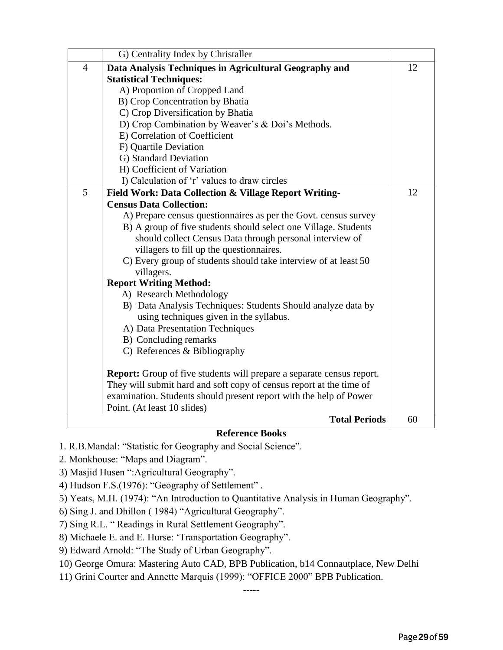|                | G) Centrality Index by Christaller                                           |    |
|----------------|------------------------------------------------------------------------------|----|
| $\overline{4}$ | Data Analysis Techniques in Agricultural Geography and                       | 12 |
|                | <b>Statistical Techniques:</b>                                               |    |
|                | A) Proportion of Cropped Land                                                |    |
|                | B) Crop Concentration by Bhatia                                              |    |
|                | C) Crop Diversification by Bhatia                                            |    |
|                | D) Crop Combination by Weaver's & Doi's Methods.                             |    |
|                | E) Correlation of Coefficient                                                |    |
|                | F) Quartile Deviation                                                        |    |
|                | G) Standard Deviation                                                        |    |
|                | H) Coefficient of Variation                                                  |    |
|                | I) Calculation of 'r' values to draw circles                                 |    |
| 5              | Field Work: Data Collection & Village Report Writing-                        | 12 |
|                | <b>Census Data Collection:</b>                                               |    |
|                | A) Prepare census questionnaires as per the Govt. census survey              |    |
|                | B) A group of five students should select one Village. Students              |    |
|                | should collect Census Data through personal interview of                     |    |
|                | villagers to fill up the questionnaires.                                     |    |
|                | C) Every group of students should take interview of at least 50              |    |
|                | villagers.                                                                   |    |
|                | <b>Report Writing Method:</b>                                                |    |
|                | A) Research Methodology                                                      |    |
|                | B) Data Analysis Techniques: Students Should analyze data by                 |    |
|                | using techniques given in the syllabus.                                      |    |
|                | A) Data Presentation Techniques                                              |    |
|                | B) Concluding remarks                                                        |    |
|                | C) References & Bibliography                                                 |    |
|                | <b>Report:</b> Group of five students will prepare a separate census report. |    |
|                | They will submit hard and soft copy of census report at the time of          |    |
|                | examination. Students should present report with the help of Power           |    |
|                | Point. (At least 10 slides)                                                  |    |
|                | <b>Total Periods</b>                                                         | 60 |

#### **Reference Books**

- 1. R.B.Mandal: "Statistic for Geography and Social Science".
- 2. Monkhouse: "Maps and Diagram".
- 3) Masjid Husen ":Agricultural Geography".
- 4) Hudson F.S.(1976): "Geography of Settlement" .
- 5) Yeats, M.H. (1974): "An Introduction to Quantitative Analysis in Human Geography".
- 6) Sing J. and Dhillon ( 1984) "Agricultural Geography".
- 7) Sing R.L. " Readings in Rural Settlement Geography".
- 8) Michaele E. and E. Hurse: 'Transportation Geography".
- 9) Edward Arnold: "The Study of Urban Geography".
- 10) George Omura: Mastering Auto CAD, BPB Publication, b14 Connautplace, New Delhi
- 11) Grini Courter and Annette Marquis (1999): "OFFICE 2000" BPB Publication.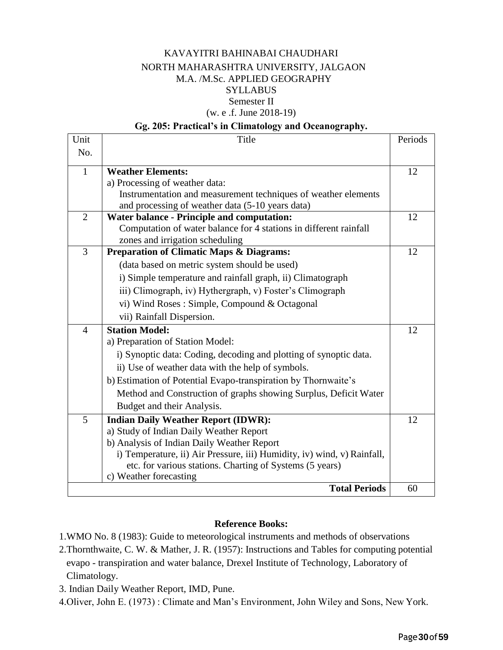#### KAVAYITRI BAHINABAI CHAUDHARI NORTH MAHARASHTRA UNIVERSITY, JALGAON M.A. /M.Sc. APPLIED GEOGRAPHY SYLLABUS Semester II (w. e .f. June 2018-19)

#### **Gg. 205: Practical's in Climatology and Oceanography.**

| Unit           | Title                                                                   | Periods |
|----------------|-------------------------------------------------------------------------|---------|
| No.            |                                                                         |         |
| $\mathbf{1}$   | <b>Weather Elements:</b>                                                | 12      |
|                | a) Processing of weather data:                                          |         |
|                | Instrumentation and measurement techniques of weather elements          |         |
|                | and processing of weather data (5-10 years data)                        |         |
| $\overline{2}$ | <b>Water balance - Principle and computation:</b>                       | 12      |
|                | Computation of water balance for 4 stations in different rainfall       |         |
|                | zones and irrigation scheduling                                         |         |
| $\overline{3}$ | <b>Preparation of Climatic Maps &amp; Diagrams:</b>                     | 12      |
|                | (data based on metric system should be used)                            |         |
|                | i) Simple temperature and rainfall graph, ii) Climatograph              |         |
|                | iii) Climograph, iv) Hythergraph, v) Foster's Climograph                |         |
|                | vi) Wind Roses: Simple, Compound & Octagonal                            |         |
|                | vii) Rainfall Dispersion.                                               |         |
| $\overline{4}$ | <b>Station Model:</b>                                                   | 12      |
|                | a) Preparation of Station Model:                                        |         |
|                | i) Synoptic data: Coding, decoding and plotting of synoptic data.       |         |
|                | ii) Use of weather data with the help of symbols.                       |         |
|                | b) Estimation of Potential Evapo-transpiration by Thornwaite's          |         |
|                | Method and Construction of graphs showing Surplus, Deficit Water        |         |
|                | Budget and their Analysis.                                              |         |
| 5              | <b>Indian Daily Weather Report (IDWR):</b>                              | 12      |
|                | a) Study of Indian Daily Weather Report                                 |         |
|                | b) Analysis of Indian Daily Weather Report                              |         |
|                | i) Temperature, ii) Air Pressure, iii) Humidity, iv) wind, v) Rainfall, |         |
|                | etc. for various stations. Charting of Systems (5 years)                |         |
|                | c) Weather forecasting                                                  |         |
|                | <b>Total Periods</b>                                                    | 60      |

#### **Reference Books:**

1.WMO No. 8 (1983): Guide to meteorological instruments and methods of observations

- 2.Thornthwaite, C. W. & Mather, J. R. (1957): Instructions and Tables for computing potential evapo - transpiration and water balance, Drexel Institute of Technology, Laboratory of Climatology.
- 3. Indian Daily Weather Report, IMD, Pune.
- 4.Oliver, John E. (1973) : Climate and Man's Environment, John Wiley and Sons, New York.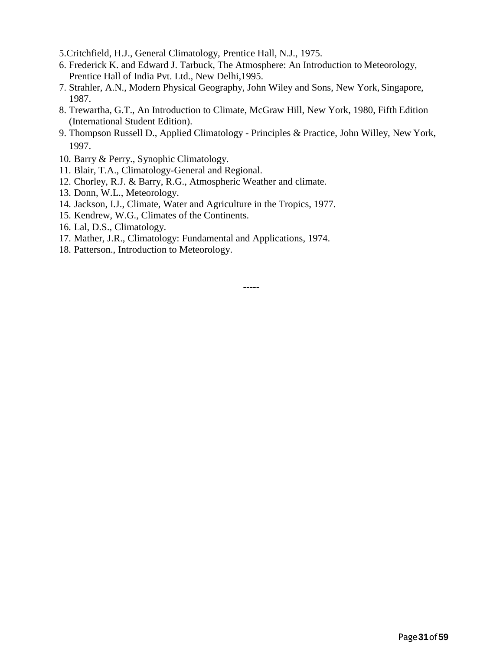- 5.Critchfield, H.J., General Climatology, Prentice Hall, N.J., 1975.
- 6. Frederick K. and Edward J. Tarbuck, The Atmosphere: An Introduction to Meteorology, Prentice Hall of India Pvt. Ltd., New Delhi,1995.
- 7. Strahler, A.N., Modern Physical Geography, John Wiley and Sons, New York, Singapore, 1987.
- 8. Trewartha, G.T., An Introduction to Climate, McGraw Hill, New York, 1980, Fifth Edition (International Student Edition).
- 9. Thompson Russell D., Applied Climatology Principles & Practice, John Willey, New York, 1997.
- 10. Barry & Perry., Synophic Climatology.
- 11. Blair, T.A., Climatology-General and Regional.
- 12. Chorley, R.J. & Barry, R.G., Atmospheric Weather and climate.
- 13. Donn, W.L., Meteorology.
- 14. Jackson, I.J., Climate, Water and Agriculture in the Tropics, 1977.
- 15. Kendrew, W.G., Climates of the Continents.
- 16. Lal, D.S., Climatology.
- 17. Mather, J.R., Climatology: Fundamental and Applications, 1974.
- 18. Patterson., Introduction to Meteorology.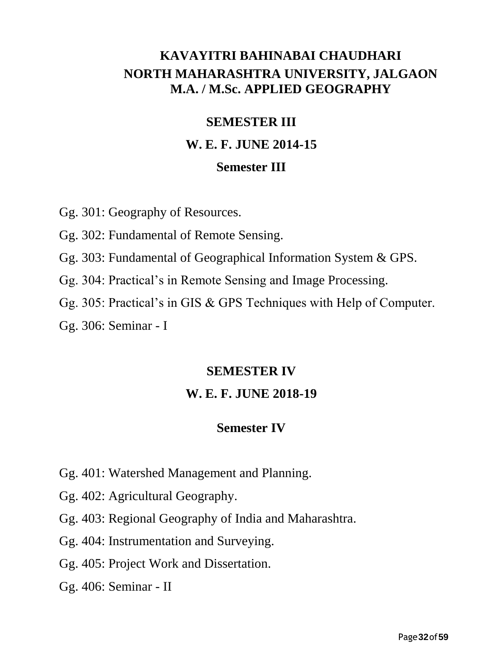## **KAVAYITRI BAHINABAI CHAUDHARI NORTH MAHARASHTRA UNIVERSITY, JALGAON M.A. / M.Sc. APPLIED GEOGRAPHY**

## **SEMESTER III**

## **W. E. F. JUNE 2014-15**

## **Semester III**

Gg. 301: Geography of Resources.

Gg. 302: Fundamental of Remote Sensing.

Gg. 303: Fundamental of Geographical Information System & GPS.

Gg. 304: Practical's in Remote Sensing and Image Processing.

Gg. 305: Practical's in GIS & GPS Techniques with Help of Computer.

Gg. 306: Seminar - I

## **SEMESTER IV**

## **W. E. F. JUNE 2018-19**

## **Semester IV**

- Gg. 401: Watershed Management and Planning.
- Gg. 402: Agricultural Geography.
- Gg. 403: Regional Geography of India and Maharashtra.

Gg. 404: Instrumentation and Surveying.

Gg. 405: Project Work and Dissertation.

Gg. 406: Seminar - II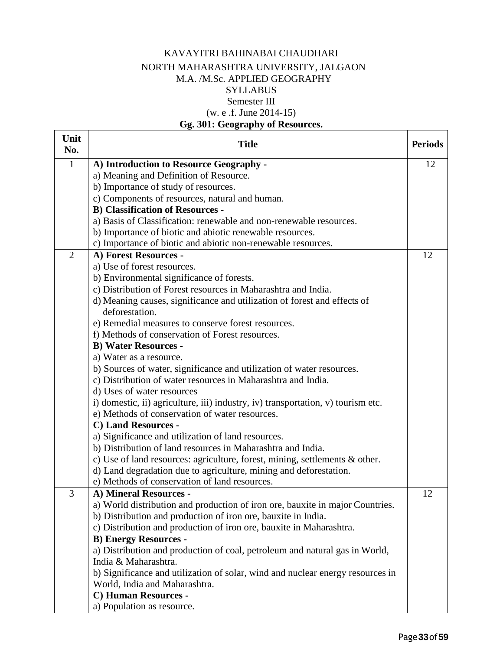#### KAVAYITRI BAHINABAI CHAUDHARI NORTH MAHARASHTRA UNIVERSITY, JALGAON M.A. /M.Sc. APPLIED GEOGRAPHY **SYLLABUS** Semester III (w. e .f. June 2014-15) **Gg. 301: Geography of Resources.**

#### **Unit No. Title Periods** 1 **A) Introduction to Resource Geography**  a) Meaning and Definition of Resource. b) Importance of study of resources. c) Components of resources, natural and human. **B) Classification of Resources**  a) Basis of Classification: renewable and non-renewable resources. b) Importance of biotic and abiotic renewable resources. c) Importance of biotic and abiotic non-renewable resources. 12 2 **A) Forest Resources**  a) Use of forest resources. b) Environmental significance of forests. c) Distribution of Forest resources in Maharashtra and India. d) Meaning causes, significance and utilization of forest and effects of deforestation. e) Remedial measures to conserve forest resources. f) Methods of conservation of Forest resources. **B) Water Resources**  a) Water as a resource. b) Sources of water, significance and utilization of water resources. c) Distribution of water resources in Maharashtra and India. d) Uses of water resources – i) domestic, ii) agriculture, iii) industry, iv) transportation, v) tourism etc. e) Methods of conservation of water resources. **C) Land Resources**  a) Significance and utilization of land resources. b) Distribution of land resources in Maharashtra and India. c) Use of land resources: agriculture, forest, mining, settlements & other. d) Land degradation due to agriculture, mining and deforestation. e) Methods of conservation of land resources. 12 3 **A) Mineral Resources**  a) World distribution and production of iron ore, bauxite in major Countries. b) Distribution and production of iron ore, bauxite in India. c) Distribution and production of iron ore, bauxite in Maharashtra. **B) Energy Resources**  a) Distribution and production of coal, petroleum and natural gas in World, India & Maharashtra. b) Significance and utilization of solar, wind and nuclear energy resources in World, India and Maharashtra. **C) Human Resources**  a) Population as resource. 12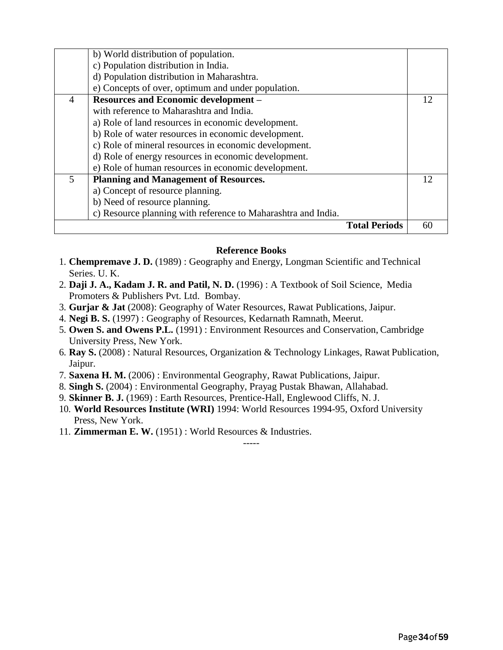|                         | b) World distribution of population.                          |    |
|-------------------------|---------------------------------------------------------------|----|
|                         | c) Population distribution in India.                          |    |
|                         | d) Population distribution in Maharashtra.                    |    |
|                         | e) Concepts of over, optimum and under population.            |    |
| $\overline{4}$          | <b>Resources and Economic development -</b>                   | 12 |
|                         | with reference to Maharashtra and India.                      |    |
|                         | a) Role of land resources in economic development.            |    |
|                         | b) Role of water resources in economic development.           |    |
|                         | c) Role of mineral resources in economic development.         |    |
|                         | d) Role of energy resources in economic development.          |    |
|                         | e) Role of human resources in economic development.           |    |
| $\overline{\mathbf{z}}$ | <b>Planning and Management of Resources.</b>                  | 12 |
|                         | a) Concept of resource planning.                              |    |
|                         | b) Need of resource planning.                                 |    |
|                         | c) Resource planning with reference to Maharashtra and India. |    |
|                         | <b>Total Periods</b>                                          |    |

#### **Reference Books**

- 1. **Chempremave J. D.** (1989) : Geography and Energy, Longman Scientific and Technical Series. U. K.
- 2. **Daji J. A., Kadam J. R. and Patil, N. D.** (1996) : A Textbook of Soil Science, Media Promoters & Publishers Pvt. Ltd. Bombay.
- 3. **Gurjar & Jat** (2008): Geography of Water Resources, Rawat Publications, Jaipur.
- 4. **Negi B. S.** (1997) : Geography of Resources, Kedarnath Ramnath, Meerut.
- 5. **Owen S. and Owens P.L.** (1991) : Environment Resources and Conservation, Cambridge University Press, New York.
- 6. **Ray S.** (2008) : Natural Resources, Organization & Technology Linkages, Rawat Publication, Jaipur.
- 7. **Saxena H. M.** (2006) : Environmental Geography, Rawat Publications, Jaipur.
- 8. **Singh S.** (2004) : Environmental Geography, Prayag Pustak Bhawan, Allahabad.
- 9. **Skinner B. J.** (1969) : Earth Resources, Prentice-Hall, Englewood Cliffs, N. J.
- 10. **World Resources Institute (WRI)** 1994: World Resources 1994-95, Oxford University Press, New York.

-----

11. **Zimmerman E. W.** (1951) : World Resources & Industries.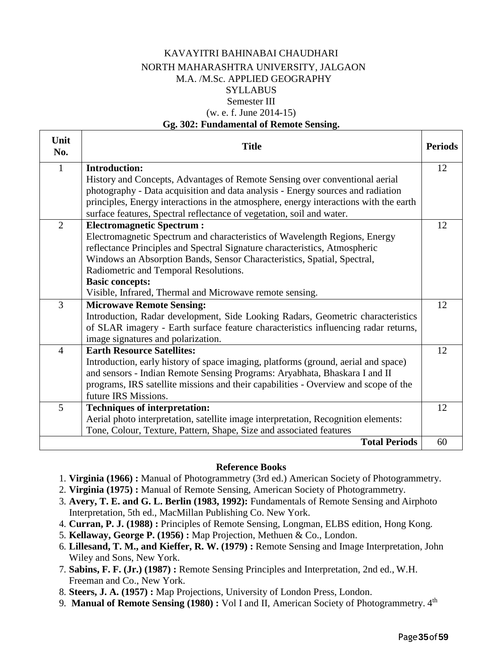#### KAVAYITRI BAHINABAI CHAUDHARI NORTH MAHARASHTRA UNIVERSITY, JALGAON M.A. /M.Sc. APPLIED GEOGRAPHY **SYLLABUS** Semester III (w. e. f. June 2014-15)

#### **Gg. 302: Fundamental of Remote Sensing.**

| Unit<br>No.    | <b>Title</b>                                                                          | <b>Periods</b> |
|----------------|---------------------------------------------------------------------------------------|----------------|
| $\mathbf{1}$   | <b>Introduction:</b>                                                                  | 12             |
|                | History and Concepts, Advantages of Remote Sensing over conventional aerial           |                |
|                | photography - Data acquisition and data analysis - Energy sources and radiation       |                |
|                | principles, Energy interactions in the atmosphere, energy interactions with the earth |                |
|                | surface features, Spectral reflectance of vegetation, soil and water.                 |                |
| $\overline{2}$ | <b>Electromagnetic Spectrum:</b>                                                      | 12             |
|                | Electromagnetic Spectrum and characteristics of Wavelength Regions, Energy            |                |
|                | reflectance Principles and Spectral Signature characteristics, Atmospheric            |                |
|                | Windows an Absorption Bands, Sensor Characteristics, Spatial, Spectral,               |                |
|                | Radiometric and Temporal Resolutions.                                                 |                |
|                | <b>Basic concepts:</b>                                                                |                |
|                | Visible, Infrared, Thermal and Microwave remote sensing.                              |                |
| 3              | <b>Microwave Remote Sensing:</b>                                                      | 12             |
|                | Introduction, Radar development, Side Looking Radars, Geometric characteristics       |                |
|                | of SLAR imagery - Earth surface feature characteristics influencing radar returns,    |                |
|                | image signatures and polarization.                                                    |                |
| $\overline{4}$ | <b>Earth Resource Satellites:</b>                                                     | 12             |
|                | Introduction, early history of space imaging, platforms (ground, aerial and space)    |                |
|                | and sensors - Indian Remote Sensing Programs: Aryabhata, Bhaskara I and II            |                |
|                | programs, IRS satellite missions and their capabilities - Overview and scope of the   |                |
|                | future IRS Missions.                                                                  |                |
| 5              | <b>Techniques of interpretation:</b>                                                  | 12             |
|                | Aerial photo interpretation, satellite image interpretation, Recognition elements:    |                |
|                | Tone, Colour, Texture, Pattern, Shape, Size and associated features                   |                |
|                | <b>Total Periods</b>                                                                  | 60             |

#### **Reference Books**

- 1. **Virginia (1966) :** Manual of Photogrammetry (3rd ed.) American Society of Photogrammetry.
- 2. **Virginia (1975) :** Manual of Remote Sensing, American Society of Photogrammetry.
- 3. **Avery, T. E. and G. L. Berlin (1983, 1992):** Fundamentals of Remote Sensing and Airphoto Interpretation, 5th ed., MacMillan Publishing Co. New York.
- 4. **Curran, P. J. (1988) :** Principles of Remote Sensing, Longman, ELBS edition, Hong Kong.
- 5. **Kellaway, George P. (1956) :** Map Projection, Methuen & Co., London.
- 6. **Lillesand, T. M., and Kieffer, R. W. (1979) :** Remote Sensing and Image Interpretation, John Wiley and Sons, New York.
- 7. **Sabins, F. F. (Jr.) (1987) :** Remote Sensing Principles and Interpretation, 2nd ed., W.H. Freeman and Co., New York.
- 8. **Steers, J. A. (1957) :** Map Projections, University of London Press, London.
- 9. Manual of Remote Sensing (1980): Vol I and II, American Society of Photogrammetry. 4<sup>th</sup>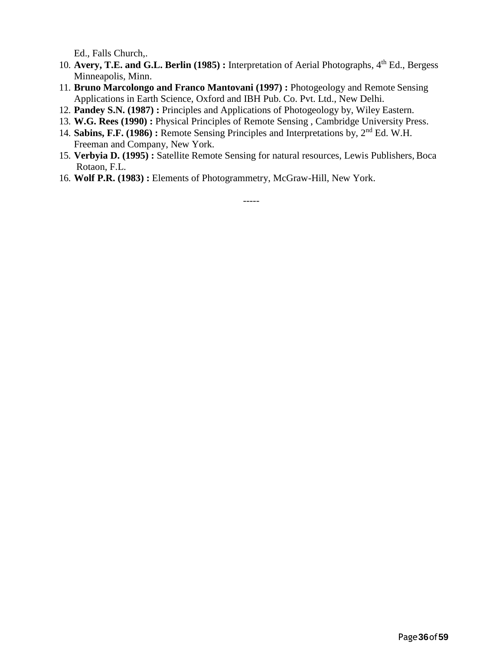Ed., Falls Church,.

- 10. **Avery, T.E. and G.L. Berlin (1985) :** Interpretation of Aerial Photographs, 4th Ed., Bergess Minneapolis, Minn.
- 11. **Bruno Marcolongo and Franco Mantovani (1997) :** Photogeology and Remote Sensing Applications in Earth Science, Oxford and IBH Pub. Co. Pvt. Ltd., New Delhi.
- 12. **Pandey S.N. (1987) :** Principles and Applications of Photogeology by, Wiley Eastern.
- 13. **W.G. Rees (1990) :** Physical Principles of Remote Sensing , Cambridge University Press.
- 14. **Sabins, F.F. (1986) :** Remote Sensing Principles and Interpretations by, 2nd Ed. W.H. Freeman and Company, New York.
- 15. **Verbyia D. (1995) :** Satellite Remote Sensing for natural resources, Lewis Publishers, Boca Rotaon, F.L.
- 16. **Wolf P.R. (1983) :** Elements of Photogrammetry, McGraw-Hill, New York.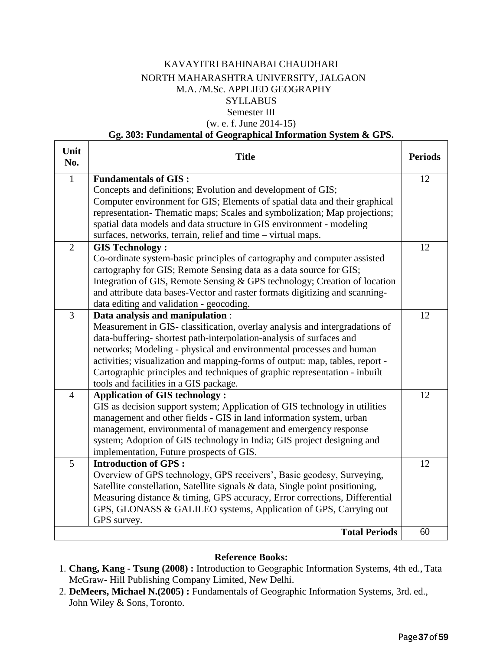#### KAVAYITRI BAHINABAI CHAUDHARI NORTH MAHARASHTRA UNIVERSITY, JALGAON M.A. /M.Sc. APPLIED GEOGRAPHY **SYLLABUS** Semester III (w. e. f. June 2014-15)

#### **Gg. 303: Fundamental of Geographical Information System & GPS.**

| Unit<br>No.    | <b>Title</b>                                                                 | <b>Periods</b> |
|----------------|------------------------------------------------------------------------------|----------------|
| $\mathbf{1}$   | <b>Fundamentals of GIS:</b>                                                  | 12             |
|                | Concepts and definitions; Evolution and development of GIS;                  |                |
|                | Computer environment for GIS; Elements of spatial data and their graphical   |                |
|                | representation- Thematic maps; Scales and symbolization; Map projections;    |                |
|                | spatial data models and data structure in GIS environment - modeling         |                |
|                | surfaces, networks, terrain, relief and time - virtual maps.                 |                |
| $\overline{2}$ | <b>GIS Technology:</b>                                                       | 12             |
|                | Co-ordinate system-basic principles of cartography and computer assisted     |                |
|                | cartography for GIS; Remote Sensing data as a data source for GIS;           |                |
|                | Integration of GIS, Remote Sensing & GPS technology; Creation of location    |                |
|                | and attribute data bases-Vector and raster formats digitizing and scanning-  |                |
|                | data editing and validation - geocoding.                                     |                |
| 3              | Data analysis and manipulation :                                             | 12             |
|                | Measurement in GIS-classification, overlay analysis and intergradations of   |                |
|                | data-buffering-shortest path-interpolation-analysis of surfaces and          |                |
|                | networks; Modeling - physical and environmental processes and human          |                |
|                | activities; visualization and mapping-forms of output: map, tables, report - |                |
|                | Cartographic principles and techniques of graphic representation - inbuilt   |                |
|                | tools and facilities in a GIS package.                                       |                |
| $\overline{4}$ | <b>Application of GIS technology:</b>                                        | 12             |
|                | GIS as decision support system; Application of GIS technology in utilities   |                |
|                | management and other fields - GIS in land information system, urban          |                |
|                | management, environmental of management and emergency response               |                |
|                | system; Adoption of GIS technology in India; GIS project designing and       |                |
|                | implementation, Future prospects of GIS.                                     |                |
| 5              | <b>Introduction of GPS:</b>                                                  | 12             |
|                | Overview of GPS technology, GPS receivers', Basic geodesy, Surveying,        |                |
|                | Satellite constellation, Satellite signals & data, Single point positioning, |                |
|                | Measuring distance & timing, GPS accuracy, Error corrections, Differential   |                |
|                | GPS, GLONASS & GALILEO systems, Application of GPS, Carrying out             |                |
|                | GPS survey.                                                                  |                |
|                | <b>Total Periods</b>                                                         | 60             |

#### **Reference Books:**

- 1. **Chang, Kang - Tsung (2008) :** Introduction to Geographic Information Systems, 4th ed., Tata McGraw- Hill Publishing Company Limited, New Delhi.
- 2. **DeMeers, Michael N.(2005) :** Fundamentals of Geographic Information Systems, 3rd. ed., John Wiley & Sons, Toronto.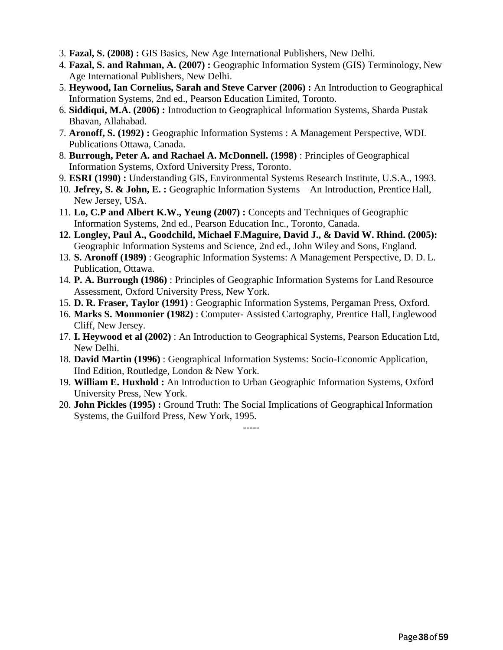- 3. **Fazal, S. (2008) :** GIS Basics, New Age International Publishers, New Delhi.
- 4. **Fazal, S. and Rahman, A. (2007) :** Geographic Information System (GIS) Terminology, New Age International Publishers, New Delhi.
- 5. **Heywood, Ian Cornelius, Sarah and Steve Carver (2006) :** An Introduction to Geographical Information Systems, 2nd ed., Pearson Education Limited, Toronto.
- 6. **Siddiqui, M.A. (2006) :** Introduction to Geographical Information Systems, Sharda Pustak Bhavan, Allahabad.
- 7. **Aronoff, S. (1992) :** Geographic Information Systems : A Management Perspective, WDL Publications Ottawa, Canada.
- 8. **Burrough, Peter A. and Rachael A. McDonnell. (1998)** : Principles of Geographical Information Systems, Oxford University Press, Toronto.
- 9. **ESRI (1990) :** Understanding GIS, Environmental Systems Research Institute, U.S.A., 1993.
- 10. **Jefrey, S. & John, E. :** Geographic Information Systems An Introduction, Prentice Hall, New Jersey, USA.
- 11. **Lo, C.P and Albert K.W., Yeung (2007) :** Concepts and Techniques of Geographic Information Systems, 2nd ed., Pearson Education Inc., Toronto, Canada.
- **12. Longley, Paul A., Goodchild, Michael F.Maguire, David J., & David W. Rhind. (2005):** Geographic Information Systems and Science, 2nd ed., John Wiley and Sons, England.
- 13. **S. Aronoff (1989)** : Geographic Information Systems: A Management Perspective, D. D. L. Publication, Ottawa.
- 14. **P. A. Burrough (1986)** : Principles of Geographic Information Systems for Land Resource Assessment, Oxford University Press, New York.
- 15. **D. R. Fraser, Taylor (1991)** : Geographic Information Systems, Pergaman Press, Oxford.
- 16. **Marks S. Monmonier (1982)** : Computer- Assisted Cartography, Prentice Hall, Englewood Cliff, New Jersey.
- 17. **I. Heywood et al (2002)** : An Introduction to Geographical Systems, Pearson Education Ltd, New Delhi.
- 18. **David Martin (1996)** : Geographical Information Systems: Socio-Economic Application, IInd Edition, Routledge, London & New York.
- 19. **William E. Huxhold :** An Introduction to Urban Geographic Information Systems, Oxford University Press, New York.
- 20. **John Pickles (1995) :** Ground Truth: The Social Implications of Geographical Information Systems, the Guilford Press, New York, 1995.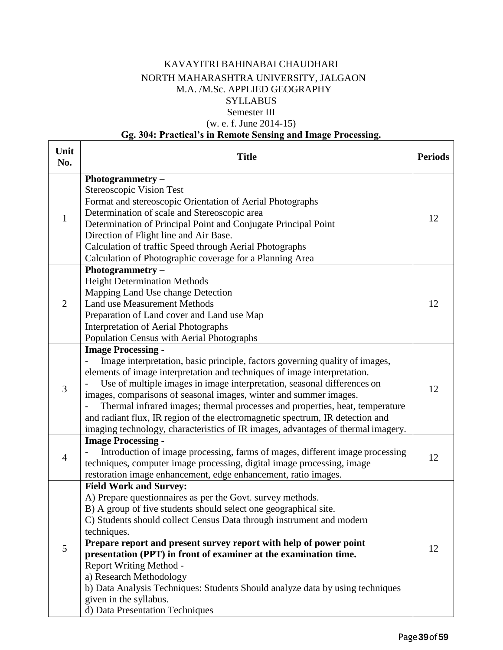### KAVAYITRI BAHINABAI CHAUDHARI NORTH MAHARASHTRA UNIVERSITY, JALGAON M.A. /M.Sc. APPLIED GEOGRAPHY **SYLLABUS** Semester III

## (w. e. f. June 2014-15)

#### **Gg. 304: Practical's in Remote Sensing and Image Processing.**

| Unit<br>No.    | <b>Title</b>                                                                                                                                                                                                                                                                                                                                                                                                                                                                                                                                                                                        | <b>Periods</b> |
|----------------|-----------------------------------------------------------------------------------------------------------------------------------------------------------------------------------------------------------------------------------------------------------------------------------------------------------------------------------------------------------------------------------------------------------------------------------------------------------------------------------------------------------------------------------------------------------------------------------------------------|----------------|
| $\mathbf{1}$   | Photogrammetry $-$<br>Stereoscopic Vision Test<br>Format and stereoscopic Orientation of Aerial Photographs<br>Determination of scale and Stereoscopic area<br>Determination of Principal Point and Conjugate Principal Point<br>Direction of Flight line and Air Base.<br>Calculation of traffic Speed through Aerial Photographs<br>Calculation of Photographic coverage for a Planning Area                                                                                                                                                                                                      | 12             |
| $\overline{2}$ | Photogrammetry $-$<br><b>Height Determination Methods</b><br>Mapping Land Use change Detection<br>Land use Measurement Methods<br>Preparation of Land cover and Land use Map<br><b>Interpretation of Aerial Photographs</b><br>Population Census with Aerial Photographs                                                                                                                                                                                                                                                                                                                            | 12             |
| 3              | <b>Image Processing -</b><br>Image interpretation, basic principle, factors governing quality of images,<br>elements of image interpretation and techniques of image interpretation.<br>Use of multiple images in image interpretation, seasonal differences on<br>images, comparisons of seasonal images, winter and summer images.<br>Thermal infrared images; thermal processes and properties, heat, temperature<br>and radiant flux, IR region of the electromagnetic spectrum, IR detection and<br>imaging technology, characteristics of IR images, advantages of thermal imagery.           | 12             |
| $\overline{4}$ | <b>Image Processing -</b><br>Introduction of image processing, farms of mages, different image processing<br>techniques, computer image processing, digital image processing, image<br>restoration image enhancement, edge enhancement, ratio images.                                                                                                                                                                                                                                                                                                                                               | 12             |
| 5              | <b>Field Work and Survey:</b><br>A) Prepare questionnaires as per the Govt. survey methods.<br>B) A group of five students should select one geographical site.<br>C) Students should collect Census Data through instrument and modern<br>techniques.<br>Prepare report and present survey report with help of power point<br>presentation (PPT) in front of examiner at the examination time.<br>Report Writing Method -<br>a) Research Methodology<br>b) Data Analysis Techniques: Students Should analyze data by using techniques<br>given in the syllabus.<br>d) Data Presentation Techniques | 12             |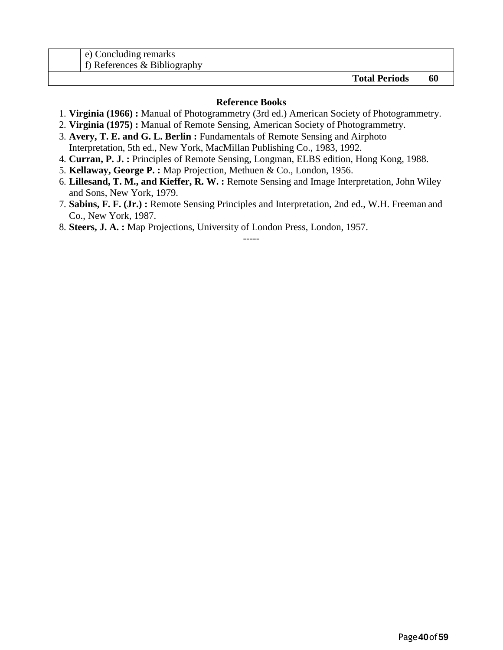| e) Concluding remarks<br>f) References $\&$ Bibliography |    |
|----------------------------------------------------------|----|
| <b>Total Periods</b>                                     | 60 |

#### **Reference Books**

- 1. **Virginia (1966) :** Manual of Photogrammetry (3rd ed.) American Society of Photogrammetry.
- 2. **Virginia (1975) :** Manual of Remote Sensing, American Society of Photogrammetry.
- 3. **Avery, T. E. and G. L. Berlin :** Fundamentals of Remote Sensing and Airphoto Interpretation, 5th ed., New York, MacMillan Publishing Co., 1983, 1992.
- 4. **Curran, P. J. :** Principles of Remote Sensing, Longman, ELBS edition, Hong Kong, 1988.
- 5. **Kellaway, George P. :** Map Projection, Methuen & Co., London, 1956.
- 6. **Lillesand, T. M., and Kieffer, R. W. :** Remote Sensing and Image Interpretation, John Wiley and Sons, New York, 1979.
- 7. **Sabins, F. F. (Jr.) :** Remote Sensing Principles and Interpretation, 2nd ed., W.H. Freeman and Co., New York, 1987.

-----

8. **Steers, J. A. :** Map Projections, University of London Press, London, 1957.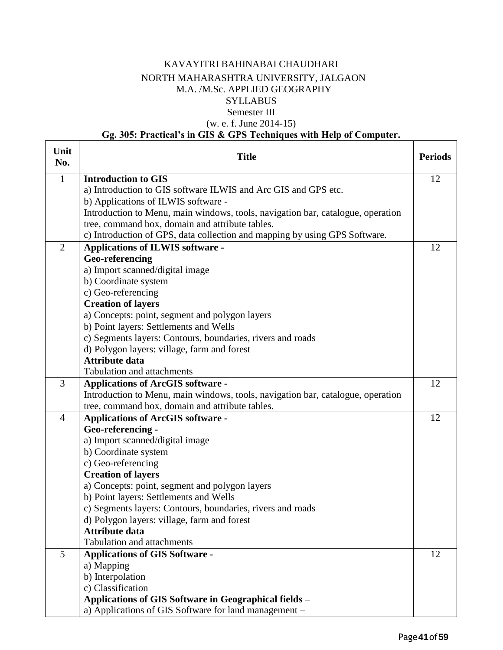#### KAVAYITRI BAHINABAI CHAUDHARI NORTH MAHARASHTRA UNIVERSITY, JALGAON M.A. /M.Sc. APPLIED GEOGRAPHY **SYLLABUS** Semester III (w. e. f. June 2014-15)

#### **Gg. 305: Practical's in GIS & GPS Techniques with Help of Computer.**

| Unit<br>No.    | <b>Title</b>                                                                                                                | <b>Periods</b> |
|----------------|-----------------------------------------------------------------------------------------------------------------------------|----------------|
| $\mathbf{1}$   | <b>Introduction to GIS</b>                                                                                                  | 12             |
|                | a) Introduction to GIS software ILWIS and Arc GIS and GPS etc.                                                              |                |
|                | b) Applications of ILWIS software -                                                                                         |                |
|                | Introduction to Menu, main windows, tools, navigation bar, catalogue, operation                                             |                |
|                | tree, command box, domain and attribute tables.                                                                             |                |
|                | c) Introduction of GPS, data collection and mapping by using GPS Software.                                                  |                |
| $\overline{2}$ | Applications of ILWIS software -                                                                                            | 12             |
|                | Geo-referencing                                                                                                             |                |
|                | a) Import scanned/digital image                                                                                             |                |
|                | b) Coordinate system                                                                                                        |                |
|                | c) Geo-referencing                                                                                                          |                |
|                | <b>Creation of layers</b>                                                                                                   |                |
|                | a) Concepts: point, segment and polygon layers                                                                              |                |
|                | b) Point layers: Settlements and Wells                                                                                      |                |
|                | c) Segments layers: Contours, boundaries, rivers and roads                                                                  |                |
|                | d) Polygon layers: village, farm and forest<br><b>Attribute data</b>                                                        |                |
|                | <b>Tabulation and attachments</b>                                                                                           |                |
| 3              |                                                                                                                             | 12             |
|                | <b>Applications of ArcGIS software -</b><br>Introduction to Menu, main windows, tools, navigation bar, catalogue, operation |                |
|                | tree, command box, domain and attribute tables.                                                                             |                |
| $\overline{4}$ | <b>Applications of ArcGIS software -</b>                                                                                    | 12             |
|                | Geo-referencing -                                                                                                           |                |
|                | a) Import scanned/digital image                                                                                             |                |
|                | b) Coordinate system                                                                                                        |                |
|                | c) Geo-referencing                                                                                                          |                |
|                | <b>Creation of layers</b>                                                                                                   |                |
|                | a) Concepts: point, segment and polygon layers                                                                              |                |
|                | b) Point layers: Settlements and Wells                                                                                      |                |
|                | c) Segments layers: Contours, boundaries, rivers and roads                                                                  |                |
|                | d) Polygon layers: village, farm and forest                                                                                 |                |
|                | <b>Attribute data</b>                                                                                                       |                |
|                | <b>Tabulation and attachments</b>                                                                                           |                |
| 5              | <b>Applications of GIS Software -</b>                                                                                       | 12             |
|                | a) Mapping                                                                                                                  |                |
|                | b) Interpolation                                                                                                            |                |
|                | c) Classification                                                                                                           |                |
|                | Applications of GIS Software in Geographical fields -                                                                       |                |
|                | a) Applications of GIS Software for land management -                                                                       |                |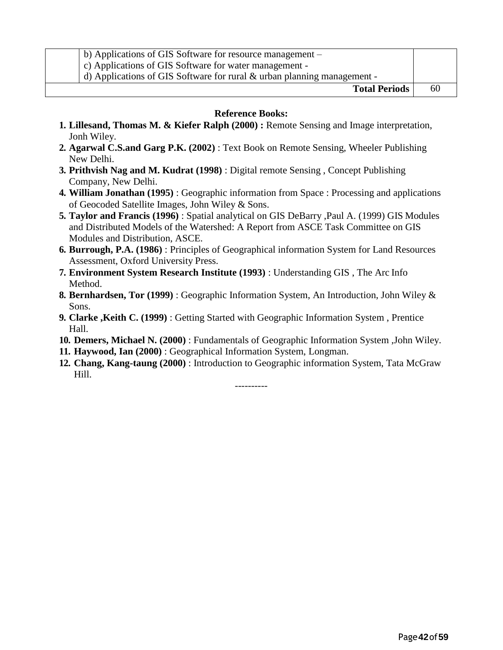| $\vert$ b) Applications of GIS Software for resource management $-$        |    |
|----------------------------------------------------------------------------|----|
| c) Applications of GIS Software for water management -                     |    |
| d) Applications of GIS Software for rural $\&$ urban planning management - |    |
| <b>Total Periods</b>                                                       | 60 |

#### **Reference Books:**

- **1. Lillesand, Thomas M. & Kiefer Ralph (2000) :** Remote Sensing and Image interpretation, Jonh Wiley.
- **2. Agarwal C.S.and Garg P.K. (2002)** : Text Book on Remote Sensing, Wheeler Publishing New Delhi.
- **3. Prithvish Nag and M. Kudrat (1998)** : Digital remote Sensing , Concept Publishing Company, New Delhi.
- **4. William Jonathan (1995)** : Geographic information from Space : Processing and applications of Geocoded Satellite Images, John Wiley & Sons.
- **5. Taylor and Francis (1996)** : Spatial analytical on GIS DeBarry ,Paul A. (1999) GIS Modules and Distributed Models of the Watershed: A Report from ASCE Task Committee on GIS Modules and Distribution, ASCE.
- **6. Burrough, P.A. (1986)** : Principles of Geographical information System for Land Resources Assessment, Oxford University Press.
- **7. Environment System Research Institute (1993)** : Understanding GIS , The Arc Info Method.
- **8. Bernhardsen, Tor (1999)** : Geographic Information System, An Introduction, John Wiley & Sons.
- **9. Clarke ,Keith C. (1999)** : Getting Started with Geographic Information System , Prentice Hall.
- **10. Demers, Michael N. (2000)** : Fundamentals of Geographic Information System ,John Wiley.
- **11. Haywood, Ian (2000)** : Geographical Information System, Longman.
- **12. Chang, Kang-taung (2000)** : Introduction to Geographic information System, Tata McGraw Hill.

----------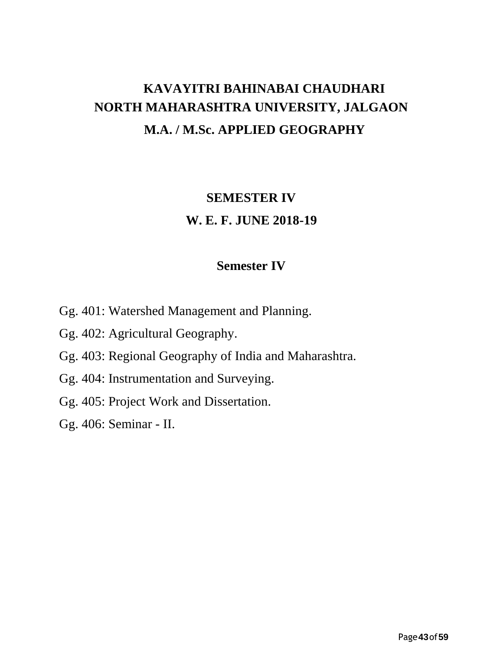# **KAVAYITRI BAHINABAI CHAUDHARI NORTH MAHARASHTRA UNIVERSITY, JALGAON M.A. / M.Sc. APPLIED GEOGRAPHY**

# **SEMESTER IV W. E. F. JUNE 2018-19**

## **Semester IV**

- Gg. 401: Watershed Management and Planning.
- Gg. 402: Agricultural Geography.
- Gg. 403: Regional Geography of India and Maharashtra.
- Gg. 404: Instrumentation and Surveying.
- Gg. 405: Project Work and Dissertation.
- Gg. 406: Seminar II.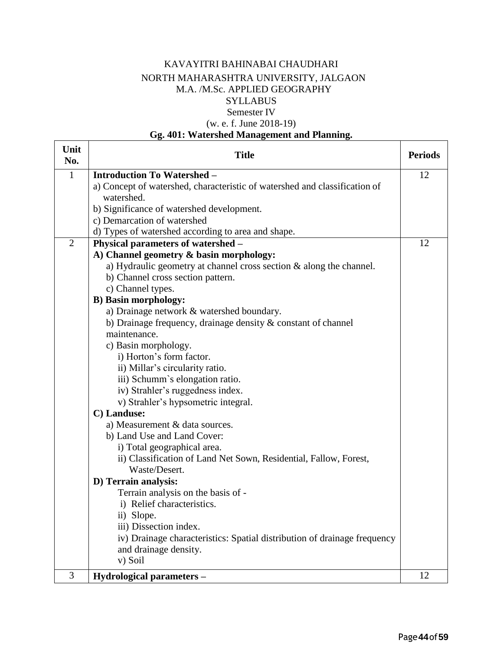#### KAVAYITRI BAHINABAI CHAUDHARI NORTH MAHARASHTRA UNIVERSITY, JALGAON M.A. /M.Sc. APPLIED GEOGRAPHY **SYLLABUS** Semester IV (w. e. f. June 2018-19)

### **Gg. 401: Watershed Management and Planning.**

| Unit<br>No.    | <b>Title</b>                                                               | <b>Periods</b> |
|----------------|----------------------------------------------------------------------------|----------------|
| 1              | <b>Introduction To Watershed -</b>                                         | 12             |
|                | a) Concept of watershed, characteristic of watershed and classification of |                |
|                | watershed.                                                                 |                |
|                | b) Significance of watershed development.                                  |                |
|                | c) Demarcation of watershed                                                |                |
|                | d) Types of watershed according to area and shape.                         |                |
| $\overline{2}$ | Physical parameters of watershed -                                         | 12             |
|                | A) Channel geometry & basin morphology:                                    |                |
|                | a) Hydraulic geometry at channel cross section $\&$ along the channel.     |                |
|                | b) Channel cross section pattern.                                          |                |
|                | c) Channel types.                                                          |                |
|                | <b>B)</b> Basin morphology:                                                |                |
|                | a) Drainage network & watershed boundary.                                  |                |
|                | b) Drainage frequency, drainage density $\&$ constant of channel           |                |
|                | maintenance.                                                               |                |
|                | c) Basin morphology.                                                       |                |
|                | i) Horton's form factor.                                                   |                |
|                | ii) Millar's circularity ratio.                                            |                |
|                | iii) Schumm's elongation ratio.                                            |                |
|                | iv) Strahler's ruggedness index.                                           |                |
|                | v) Strahler's hypsometric integral.                                        |                |
|                | C) Landuse:                                                                |                |
|                | a) Measurement & data sources.                                             |                |
|                | b) Land Use and Land Cover:                                                |                |
|                | i) Total geographical area.                                                |                |
|                | ii) Classification of Land Net Sown, Residential, Fallow, Forest,          |                |
|                | Waste/Desert.                                                              |                |
|                | D) Terrain analysis:                                                       |                |
|                | Terrain analysis on the basis of -                                         |                |
|                | i) Relief characteristics.                                                 |                |
|                | ii) Slope.                                                                 |                |
|                | iii) Dissection index.                                                     |                |
|                | iv) Drainage characteristics: Spatial distribution of drainage frequency   |                |
|                | and drainage density.                                                      |                |
|                | v) Soil                                                                    |                |
| 3              | Hydrological parameters -                                                  | 12             |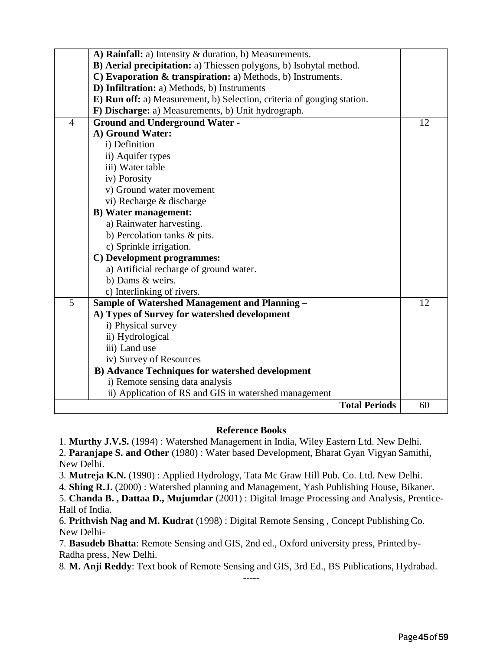|                | A) Rainfall: a) Intensity & duration, b) Measurements.                 |                      |    |
|----------------|------------------------------------------------------------------------|----------------------|----|
|                | B) Aerial precipitation: a) Thiessen polygons, b) Isohytal method.     |                      |    |
|                | C) Evaporation & transpiration: a) Methods, b) Instruments.            |                      |    |
|                | D) Infiltration: a) Methods, b) Instruments                            |                      |    |
|                | E) Run off: a) Measurement, b) Selection, criteria of gouging station. |                      |    |
|                | F) Discharge: a) Measurements, b) Unit hydrograph.                     |                      |    |
| $\overline{4}$ | <b>Ground and Underground Water -</b>                                  |                      | 12 |
|                | A) Ground Water:                                                       |                      |    |
|                | i) Definition                                                          |                      |    |
|                | ii) Aquifer types                                                      |                      |    |
|                | iii) Water table                                                       |                      |    |
|                | iv) Porosity                                                           |                      |    |
|                | v) Ground water movement                                               |                      |    |
|                | vi) Recharge & discharge                                               |                      |    |
|                | <b>B)</b> Water management:                                            |                      |    |
|                | a) Rainwater harvesting.                                               |                      |    |
|                | b) Percolation tanks & pits.                                           |                      |    |
|                | c) Sprinkle irrigation.                                                |                      |    |
|                | C) Development programmes:                                             |                      |    |
|                | a) Artificial recharge of ground water.                                |                      |    |
|                | b) Dams & weirs.                                                       |                      |    |
|                | c) Interlinking of rivers.                                             |                      |    |
| 5              | <b>Sample of Watershed Management and Planning -</b>                   |                      | 12 |
|                | A) Types of Survey for watershed development                           |                      |    |
|                | i) Physical survey                                                     |                      |    |
|                | ii) Hydrological                                                       |                      |    |
|                | iii) Land use                                                          |                      |    |
|                | iv) Survey of Resources                                                |                      |    |
|                | <b>B)</b> Advance Techniques for watershed development                 |                      |    |
|                | i) Remote sensing data analysis                                        |                      |    |
|                | ii) Application of RS and GIS in watershed management                  |                      |    |
|                |                                                                        | <b>Total Periods</b> | 60 |
|                |                                                                        |                      |    |

#### **Reference Books**

1. **Murthy J.V.S.** (1994) : Watershed Management in India, Wiley Eastern Ltd. New Delhi.

2. **Paranjape S. and Other** (1980) : Water based Development, Bharat Gyan Vigyan Samithi, New Delhi.

3. **Mutreja K.N.** (1990) : Applied Hydrology, Tata Mc Graw Hill Pub. Co. Ltd. New Delhi.

4. **Shing R.J.** (2000) : Watershed planning and Management, Yash Publishing House, Bikaner.

5. **Chanda B. , Dattaa D., Mujumdar** (2001) : Digital Image Processing and Analysis, Prentice-Hall of India.

6. **Prithvish Nag and M. Kudrat** (1998) : Digital Remote Sensing , Concept Publishing Co. New Delhi-

7. **Basudeb Bhatta**: Remote Sensing and GIS, 2nd ed., Oxford university press, Printed by-Radha press, New Delhi.

8. **M. Anji Reddy**: Text book of Remote Sensing and GIS, 3rd Ed., BS Publications, Hydrabad. -----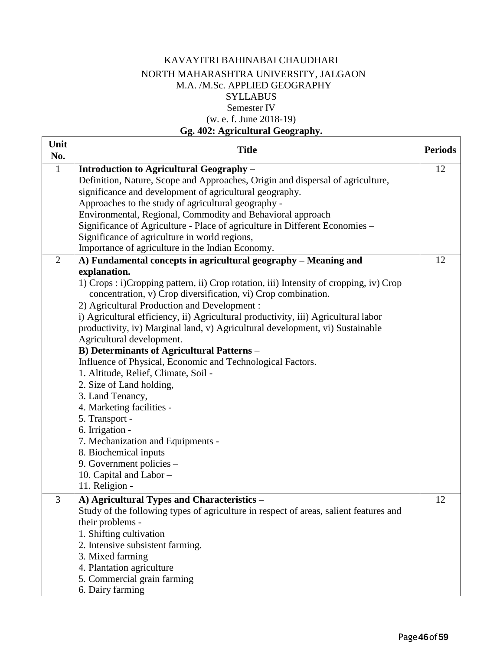#### KAVAYITRI BAHINABAI CHAUDHARI NORTH MAHARASHTRA UNIVERSITY, JALGAON M.A. /M.Sc. APPLIED GEOGRAPHY **SYLLABUS** Semester IV (w. e. f. June 2018-19)

#### **Gg. 402: Agricultural Geography.**

Г

| Unit<br>No.    | <b>Title</b>                                                                           | <b>Periods</b> |
|----------------|----------------------------------------------------------------------------------------|----------------|
| $\mathbf{1}$   | <b>Introduction to Agricultural Geography -</b>                                        | 12             |
|                | Definition, Nature, Scope and Approaches, Origin and dispersal of agriculture,         |                |
|                | significance and development of agricultural geography.                                |                |
|                | Approaches to the study of agricultural geography -                                    |                |
|                | Environmental, Regional, Commodity and Behavioral approach                             |                |
|                | Significance of Agriculture - Place of agriculture in Different Economies –            |                |
|                | Significance of agriculture in world regions,                                          |                |
|                | Importance of agriculture in the Indian Economy.                                       |                |
| $\overline{2}$ | A) Fundamental concepts in agricultural geography – Meaning and                        | 12             |
|                | explanation.                                                                           |                |
|                | 1) Crops : i)Cropping pattern, ii) Crop rotation, iii) Intensity of cropping, iv) Crop |                |
|                | concentration, v) Crop diversification, vi) Crop combination.                          |                |
|                | 2) Agricultural Production and Development :                                           |                |
|                | i) Agricultural efficiency, ii) Agricultural productivity, iii) Agricultural labor     |                |
|                | productivity, iv) Marginal land, v) Agricultural development, vi) Sustainable          |                |
|                | Agricultural development.                                                              |                |
|                | <b>B) Determinants of Agricultural Patterns -</b>                                      |                |
|                | Influence of Physical, Economic and Technological Factors.                             |                |
|                | 1. Altitude, Relief, Climate, Soil -                                                   |                |
|                | 2. Size of Land holding,                                                               |                |
|                | 3. Land Tenancy,                                                                       |                |
|                | 4. Marketing facilities -                                                              |                |
|                | 5. Transport -                                                                         |                |
|                | 6. Irrigation -                                                                        |                |
|                | 7. Mechanization and Equipments -                                                      |                |
|                | 8. Biochemical inputs -                                                                |                |
|                | 9. Government policies -                                                               |                |
|                | 10. Capital and Labor -<br>11. Religion -                                              |                |
|                |                                                                                        |                |
| 3              | A) Agricultural Types and Characteristics -                                            | 12             |
|                | Study of the following types of agriculture in respect of areas, salient features and  |                |
|                | their problems -                                                                       |                |
|                | 1. Shifting cultivation                                                                |                |
|                | 2. Intensive subsistent farming.<br>3. Mixed farming                                   |                |
|                |                                                                                        |                |
|                | 4. Plantation agriculture<br>5. Commercial grain farming                               |                |
|                | 6. Dairy farming                                                                       |                |
|                |                                                                                        |                |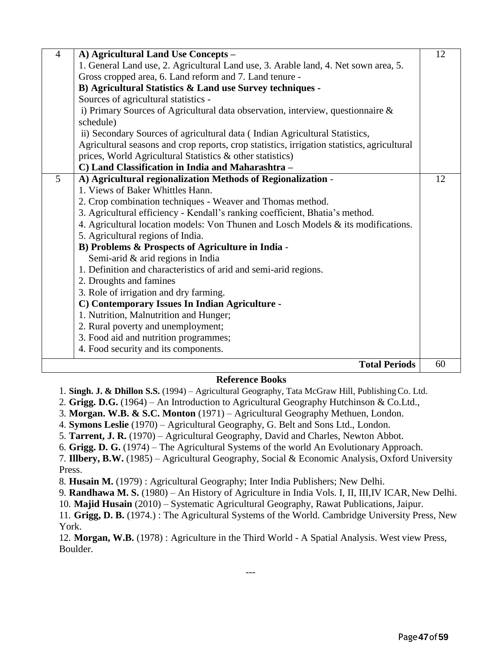| $\overline{4}$ | A) Agricultural Land Use Concepts -                                                         | 12 |
|----------------|---------------------------------------------------------------------------------------------|----|
|                | 1. General Land use, 2. Agricultural Land use, 3. Arable land, 4. Net sown area, 5.         |    |
|                | Gross cropped area, 6. Land reform and 7. Land tenure -                                     |    |
|                | B) Agricultural Statistics & Land use Survey techniques -                                   |    |
|                | Sources of agricultural statistics -                                                        |    |
|                | i) Primary Sources of Agricultural data observation, interview, questionnaire &             |    |
|                | schedule)                                                                                   |    |
|                | ii) Secondary Sources of agricultural data (Indian Agricultural Statistics,                 |    |
|                | Agricultural seasons and crop reports, crop statistics, irrigation statistics, agricultural |    |
|                | prices, World Agricultural Statistics & other statistics)                                   |    |
|                | C) Land Classification in India and Maharashtra -                                           |    |
| 5              | A) Agricultural regionalization Methods of Regionalization -                                | 12 |
|                | 1. Views of Baker Whittles Hann.                                                            |    |
|                | 2. Crop combination techniques - Weaver and Thomas method.                                  |    |
|                | 3. Agricultural efficiency - Kendall's ranking coefficient, Bhatia's method.                |    |
|                | 4. Agricultural location models: Von Thunen and Losch Models & its modifications.           |    |
|                | 5. Agricultural regions of India.                                                           |    |
|                | B) Problems & Prospects of Agriculture in India -                                           |    |
|                | Semi-arid & arid regions in India                                                           |    |
|                | 1. Definition and characteristics of arid and semi-arid regions.                            |    |
|                | 2. Droughts and famines                                                                     |    |
|                | 3. Role of irrigation and dry farming.                                                      |    |
|                | C) Contemporary Issues In Indian Agriculture -                                              |    |
|                | 1. Nutrition, Malnutrition and Hunger;                                                      |    |
|                | 2. Rural poverty and unemployment;                                                          |    |
|                | 3. Food aid and nutrition programmes;                                                       |    |
|                | 4. Food security and its components.                                                        |    |
|                | <b>Total Periods</b>                                                                        | 60 |

#### **Reference Books**

1. **Singh. J. & Dhillon S.S.** (1994) – Agricultural Geography, Tata McGraw Hill, PublishingCo. Ltd.

2. **Grigg. D.G.** (1964) – An Introduction to Agricultural Geography Hutchinson & Co.Ltd.,

3. **Morgan. W.B. & S.C. Monton** (1971) – Agricultural Geography Methuen, London.

4. **Symons Leslie** (1970) – Agricultural Geography, G. Belt and Sons Ltd., London.

5. **Tarrent, J. R.** (1970) – Agricultural Geography, David and Charles, Newton Abbot.

6. **Grigg. D. G.** (1974) – The Agricultural Systems of the world An Evolutionary Approach.

7. **Illbery, B.W.** (1985) – Agricultural Geography, Social & Economic Analysis, Oxford University Press.

8. **Husain M.** (1979) : Agricultural Geography; Inter India Publishers; New Delhi.

9. **Randhawa M. S.** (1980) – An History of Agriculture in India Vols. I, II, III,IV ICAR, New Delhi.

10. **Majid Husain** (2010) – Systematic Agricultural Geography, Rawat Publications, Jaipur.

11. **Grigg, D. B.** (1974.) : The Agricultural Systems of the World. Cambridge University Press, New York.

12. **Morgan, W.B.** (1978) : Agriculture in the Third World - A Spatial Analysis. West view Press, Boulder.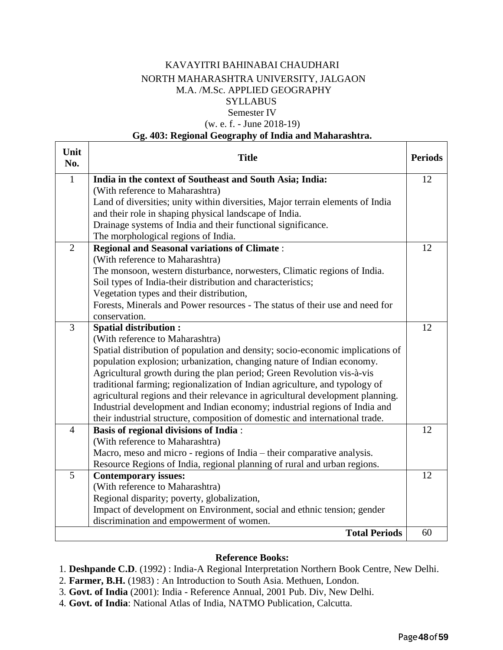#### KAVAYITRI BAHINABAI CHAUDHARI NORTH MAHARASHTRA UNIVERSITY, JALGAON M.A. /M.Sc. APPLIED GEOGRAPHY **SYLLABUS** Semester IV

#### (w. e. f. - June 2018-19)

#### **Gg. 403: Regional Geography of India and Maharashtra.**

| Unit<br>No.    | <b>Title</b>                                                                   | <b>Periods</b> |
|----------------|--------------------------------------------------------------------------------|----------------|
| $\mathbf{1}$   | India in the context of Southeast and South Asia; India:                       | 12             |
|                | (With reference to Maharashtra)                                                |                |
|                | Land of diversities; unity within diversities, Major terrain elements of India |                |
|                | and their role in shaping physical landscape of India.                         |                |
|                | Drainage systems of India and their functional significance.                   |                |
|                | The morphological regions of India.                                            |                |
| $\overline{2}$ | <b>Regional and Seasonal variations of Climate:</b>                            | 12             |
|                | (With reference to Maharashtra)                                                |                |
|                | The monsoon, western disturbance, norwesters, Climatic regions of India.       |                |
|                | Soil types of India-their distribution and characteristics;                    |                |
|                | Vegetation types and their distribution,                                       |                |
|                | Forests, Minerals and Power resources - The status of their use and need for   |                |
|                | conservation.                                                                  |                |
| 3              | <b>Spatial distribution:</b>                                                   | 12             |
|                | (With reference to Maharashtra)                                                |                |
|                | Spatial distribution of population and density; socio-economic implications of |                |
|                | population explosion; urbanization, changing nature of Indian economy.         |                |
|                | Agricultural growth during the plan period; Green Revolution vis-à-vis         |                |
|                | traditional farming; regionalization of Indian agriculture, and typology of    |                |
|                | agricultural regions and their relevance in agricultural development planning. |                |
|                | Industrial development and Indian economy; industrial regions of India and     |                |
|                | their industrial structure, composition of domestic and international trade.   |                |
| $\overline{4}$ | <b>Basis of regional divisions of India:</b>                                   | 12             |
|                | (With reference to Maharashtra)                                                |                |
|                | Macro, meso and micro - regions of India – their comparative analysis.         |                |
|                | Resource Regions of India, regional planning of rural and urban regions.       |                |
| 5              | <b>Contemporary issues:</b>                                                    | 12             |
|                | (With reference to Maharashtra)                                                |                |
|                | Regional disparity; poverty, globalization,                                    |                |
|                | Impact of development on Environment, social and ethnic tension; gender        |                |
|                | discrimination and empowerment of women.                                       |                |
|                | <b>Total Periods</b>                                                           | 60             |

#### **Reference Books:**

1. **Deshpande C.D**. (1992) : India-A Regional Interpretation Northern Book Centre, New Delhi.

- 2. **Farmer, B.H.** (1983) : An Introduction to South Asia. Methuen, London.
- 3. **Govt. of India** (2001): India Reference Annual, 2001 Pub. Div, New Delhi.
- 4. **Govt. of India**: National Atlas of India, NATMO Publication, Calcutta.

٦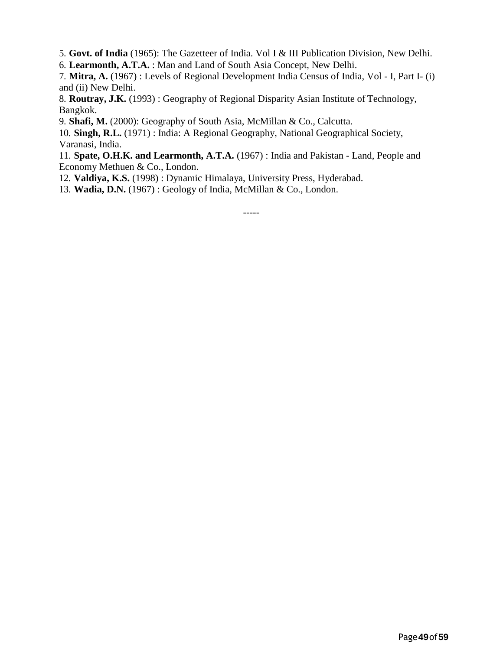5. **Govt. of India** (1965): The Gazetteer of India. Vol I & III Publication Division, New Delhi.

6. **Learmonth, A.T.A.** : Man and Land of South Asia Concept, New Delhi.

7. **Mitra, A.** (1967) : Levels of Regional Development India Census of India, Vol - I, Part I- (i) and (ii) New Delhi.

8. **Routray, J.K.** (1993) : Geography of Regional Disparity Asian Institute of Technology, Bangkok.

9. **Shafi, M.** (2000): Geography of South Asia, McMillan & Co., Calcutta.

10. **Singh, R.L.** (1971) : India: A Regional Geography, National Geographical Society, Varanasi, India.

11. **Spate, O.H.K. and Learmonth, A.T.A.** (1967) : India and Pakistan - Land, People and Economy Methuen & Co., London.

12. **Valdiya, K.S.** (1998) : Dynamic Himalaya, University Press, Hyderabad.

13. **Wadia, D.N.** (1967) : Geology of India, McMillan & Co., London.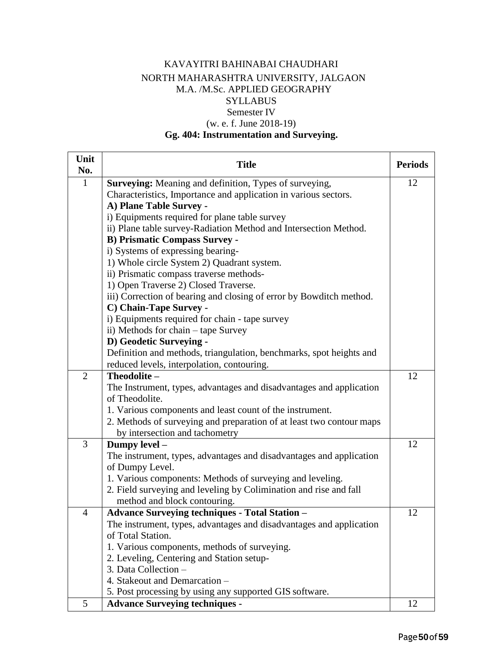#### KAVAYITRI BAHINABAI CHAUDHARI NORTH MAHARASHTRA UNIVERSITY, JALGAON M.A. /M.Sc. APPLIED GEOGRAPHY **SYLLABUS** Semester IV (w. e. f. June 2018-19)

#### **Gg. 404: Instrumentation and Surveying.**

| Unit<br>No.    | <b>Title</b>                                                         | <b>Periods</b> |
|----------------|----------------------------------------------------------------------|----------------|
| $\mathbf{1}$   | Surveying: Meaning and definition, Types of surveying,               | 12             |
|                | Characteristics, Importance and application in various sectors.      |                |
|                | A) Plane Table Survey -                                              |                |
|                | i) Equipments required for plane table survey                        |                |
|                | ii) Plane table survey-Radiation Method and Intersection Method.     |                |
|                | <b>B) Prismatic Compass Survey -</b>                                 |                |
|                | i) Systems of expressing bearing-                                    |                |
|                | 1) Whole circle System 2) Quadrant system.                           |                |
|                | ii) Prismatic compass traverse methods-                              |                |
|                | 1) Open Traverse 2) Closed Traverse.                                 |                |
|                | iii) Correction of bearing and closing of error by Bowditch method.  |                |
|                | C) Chain-Tape Survey -                                               |                |
|                | i) Equipments required for chain - tape survey                       |                |
|                | ii) Methods for chain – tape Survey                                  |                |
|                | D) Geodetic Surveying -                                              |                |
|                | Definition and methods, triangulation, benchmarks, spot heights and  |                |
|                | reduced levels, interpolation, contouring.                           |                |
| $\overline{2}$ | Theodolite-                                                          | 12             |
|                | The Instrument, types, advantages and disadvantages and application  |                |
|                | of Theodolite.                                                       |                |
|                | 1. Various components and least count of the instrument.             |                |
|                | 2. Methods of surveying and preparation of at least two contour maps |                |
|                | by intersection and tachometry                                       |                |
| 3              | Dumpy level -                                                        | 12             |
|                | The instrument, types, advantages and disadvantages and application  |                |
|                | of Dumpy Level.                                                      |                |
|                | 1. Various components: Methods of surveying and leveling.            |                |
|                | 2. Field surveying and leveling by Colimination and rise and fall    |                |
|                | method and block contouring.                                         |                |
| $\overline{4}$ | <b>Advance Surveying techniques - Total Station -</b>                | 12             |
|                | The instrument, types, advantages and disadvantages and application  |                |
|                | of Total Station.                                                    |                |
|                | 1. Various components, methods of surveying.                         |                |
|                | 2. Leveling, Centering and Station setup-                            |                |
|                | 3. Data Collection -                                                 |                |
|                | 4. Stakeout and Demarcation -                                        |                |
|                | 5. Post processing by using any supported GIS software.              |                |
| 5              | <b>Advance Surveying techniques -</b>                                | 12             |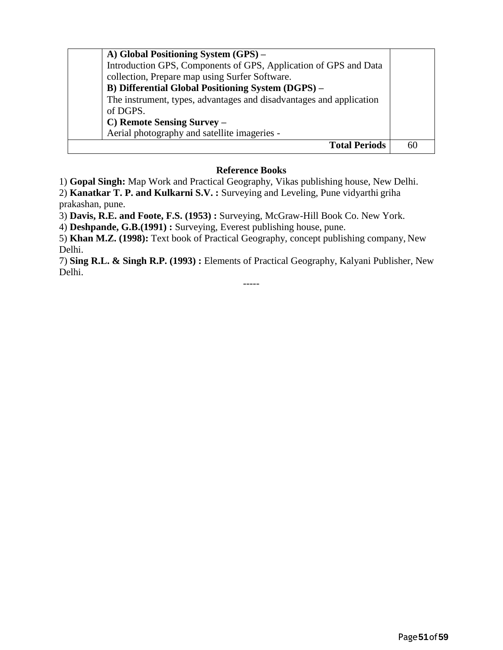| A) Global Positioning System (GPS) –<br>Introduction GPS, Components of GPS, Application of GPS and Data<br>collection, Prepare map using Surfer Software.<br>B) Differential Global Positioning System (DGPS) -<br>The instrument, types, advantages and disadvantages and application<br>of DGPS.<br>C) Remote Sensing Survey -<br>Aerial photography and satellite imageries - |    |
|-----------------------------------------------------------------------------------------------------------------------------------------------------------------------------------------------------------------------------------------------------------------------------------------------------------------------------------------------------------------------------------|----|
| <b>Total Periods</b>                                                                                                                                                                                                                                                                                                                                                              | 60 |

#### **Reference Books**

1) **Gopal Singh:** Map Work and Practical Geography, Vikas publishing house, New Delhi.

2) **Kanatkar T. P. and Kulkarni S.V. :** Surveying and Leveling, Pune vidyarthi griha prakashan, pune.

3) **Davis, R.E. and Foote, F.S. (1953) :** Surveying, McGraw-Hill Book Co. New York.

4) **Deshpande, G.B.(1991) :** Surveying, Everest publishing house, pune.

5) **Khan M.Z. (1998):** Text book of Practical Geography, concept publishing company, New Delhi.

7) **Sing R.L. & Singh R.P. (1993) :** Elements of Practical Geography, Kalyani Publisher, New Delhi.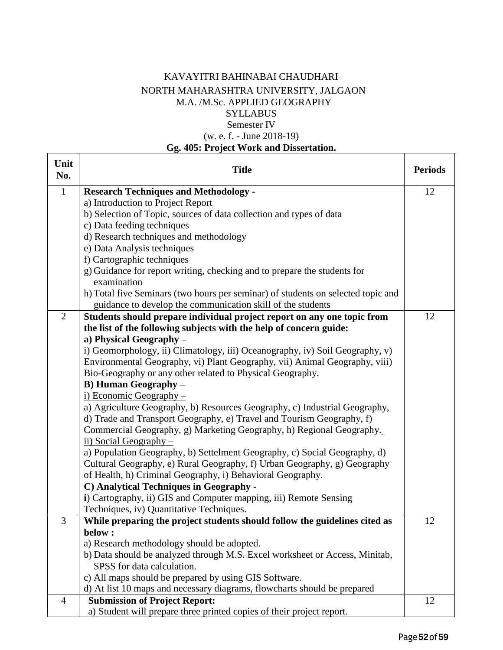#### KAVAYITRI BAHINABAI CHAUDHARI NORTH MAHARASHTRA UNIVERSITY, JALGAON M.A. /M.Sc. APPLIED GEOGRAPHY **SYLLABUS** Semester IV (w. e. f. - June 2018-19)

### **Gg. 405: Project Work and Dissertation.**

| Unit<br>No.    | <b>Title</b>                                                                     | <b>Periods</b> |
|----------------|----------------------------------------------------------------------------------|----------------|
| $\mathbf{1}$   | <b>Research Techniques and Methodology -</b>                                     | 12             |
|                | a) Introduction to Project Report                                                |                |
|                | b) Selection of Topic, sources of data collection and types of data              |                |
|                | c) Data feeding techniques                                                       |                |
|                | d) Research techniques and methodology                                           |                |
|                | e) Data Analysis techniques                                                      |                |
|                | f) Cartographic techniques                                                       |                |
|                | g) Guidance for report writing, checking and to prepare the students for         |                |
|                | examination                                                                      |                |
|                | h) Total five Seminars (two hours per seminar) of students on selected topic and |                |
|                | guidance to develop the communication skill of the students                      |                |
| $\overline{2}$ | Students should prepare individual project report on any one topic from          | 12             |
|                | the list of the following subjects with the help of concern guide:               |                |
|                | a) Physical Geography -                                                          |                |
|                | i) Geomorphology, ii) Climatology, iii) Oceanography, iv) Soil Geography, v)     |                |
|                | Environmental Geography, vi) Plant Geography, vii) Animal Geography, viii)       |                |
|                | Bio-Geography or any other related to Physical Geography.                        |                |
|                | <b>B)</b> Human Geography -                                                      |                |
|                | $i)$ Economic Geography –                                                        |                |
|                | a) Agriculture Geography, b) Resources Geography, c) Industrial Geography,       |                |
|                | d) Trade and Transport Geography, e) Travel and Tourism Geography, f)            |                |
|                | Commercial Geography, g) Marketing Geography, h) Regional Geography.             |                |
|                | ii) Social Geography $-$                                                         |                |
|                | a) Population Geography, b) Settelment Geography, c) Social Geography, d)        |                |
|                | Cultural Geography, e) Rural Geography, f) Urban Geography, g) Geography         |                |
|                | of Health, h) Criminal Geography, i) Behavioral Geography.                       |                |
|                | C) Analytical Techniques in Geography -                                          |                |
|                | i) Cartography, ii) GIS and Computer mapping, iii) Remote Sensing                |                |
|                | Techniques, iv) Quantitative Techniques.                                         |                |
| 3              | While preparing the project students should follow the guidelines cited as       | 12             |
|                | below:                                                                           |                |
|                | a) Research methodology should be adopted.                                       |                |
|                | b) Data should be analyzed through M.S. Excel worksheet or Access, Minitab,      |                |
|                | SPSS for data calculation.                                                       |                |
|                | c) All maps should be prepared by using GIS Software.                            |                |
|                | d) At list 10 maps and necessary diagrams, flowcharts should be prepared         |                |
| 4              | <b>Submission of Project Report:</b>                                             | 12             |
|                | a) Student will prepare three printed copies of their project report.            |                |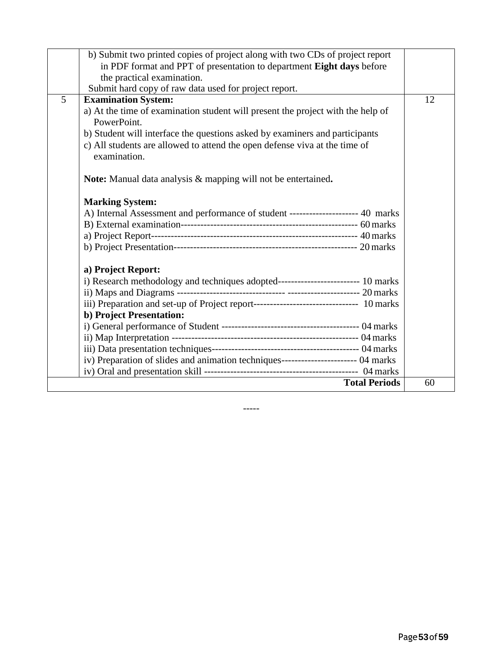|   | b) Submit two printed copies of project along with two CDs of project report                   |    |
|---|------------------------------------------------------------------------------------------------|----|
|   | in PDF format and PPT of presentation to department Eight days before                          |    |
|   | the practical examination.                                                                     |    |
|   | Submit hard copy of raw data used for project report.                                          |    |
| 5 | <b>Examination System:</b>                                                                     | 12 |
|   | a) At the time of examination student will present the project with the help of<br>PowerPoint. |    |
|   | b) Student will interface the questions asked by examiners and participants                    |    |
|   | c) All students are allowed to attend the open defense viva at the time of                     |    |
|   | examination.                                                                                   |    |
|   | <b>Note:</b> Manual data analysis & mapping will not be entertained.                           |    |
|   | <b>Marking System:</b>                                                                         |    |
|   | A) Internal Assessment and performance of student --------------------- 40 marks               |    |
|   |                                                                                                |    |
|   |                                                                                                |    |
|   |                                                                                                |    |
|   | a) Project Report:                                                                             |    |
|   | i) Research methodology and techniques adopted------------------------- 10 marks               |    |
|   |                                                                                                |    |
|   | iii) Preparation and set-up of Project report----------------------------------- 10 marks      |    |
|   | b) Project Presentation:                                                                       |    |
|   |                                                                                                |    |
|   |                                                                                                |    |
|   |                                                                                                |    |
|   | iv) Preparation of slides and animation techniques------------------------- 04 marks           |    |
|   |                                                                                                |    |
|   | <b>Total Periods</b>                                                                           | 60 |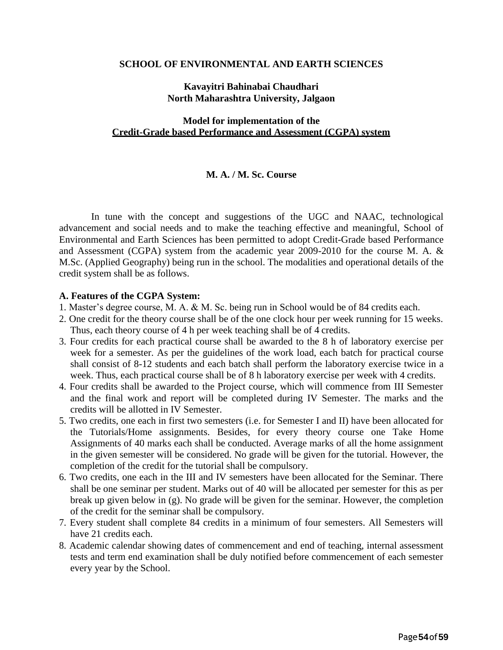#### **SCHOOL OF ENVIRONMENTAL AND EARTH SCIENCES**

#### **Kavayitri Bahinabai Chaudhari North Maharashtra University, Jalgaon**

#### **Model for implementation of the Credit-Grade based Performance and Assessment (CGPA) system**

#### **M. A. / M. Sc. Course**

In tune with the concept and suggestions of the UGC and NAAC, technological advancement and social needs and to make the teaching effective and meaningful, School of Environmental and Earth Sciences has been permitted to adopt Credit-Grade based Performance and Assessment (CGPA) system from the academic year 2009-2010 for the course M. A. & M.Sc. (Applied Geography) being run in the school. The modalities and operational details of the credit system shall be as follows.

#### **A. Features of the CGPA System:**

- 1. Master's degree course, M. A. & M. Sc. being run in School would be of 84 credits each.
- 2. One credit for the theory course shall be of the one clock hour per week running for 15 weeks. Thus, each theory course of 4 h per week teaching shall be of 4 credits.
- 3. Four credits for each practical course shall be awarded to the 8 h of laboratory exercise per week for a semester. As per the guidelines of the work load, each batch for practical course shall consist of 8-12 students and each batch shall perform the laboratory exercise twice in a week. Thus, each practical course shall be of 8 h laboratory exercise per week with 4 credits.
- 4. Four credits shall be awarded to the Project course, which will commence from III Semester and the final work and report will be completed during IV Semester. The marks and the credits will be allotted in IV Semester.
- 5. Two credits, one each in first two semesters (i.e. for Semester I and II) have been allocated for the Tutorials/Home assignments. Besides, for every theory course one Take Home Assignments of 40 marks each shall be conducted. Average marks of all the home assignment in the given semester will be considered. No grade will be given for the tutorial. However, the completion of the credit for the tutorial shall be compulsory.
- 6. Two credits, one each in the III and IV semesters have been allocated for the Seminar. There shall be one seminar per student. Marks out of 40 will be allocated per semester for this as per break up given below in (g). No grade will be given for the seminar. However, the completion of the credit for the seminar shall be compulsory.
- 7. Every student shall complete 84 credits in a minimum of four semesters. All Semesters will have 21 credits each.
- 8. Academic calendar showing dates of commencement and end of teaching, internal assessment tests and term end examination shall be duly notified before commencement of each semester every year by the School.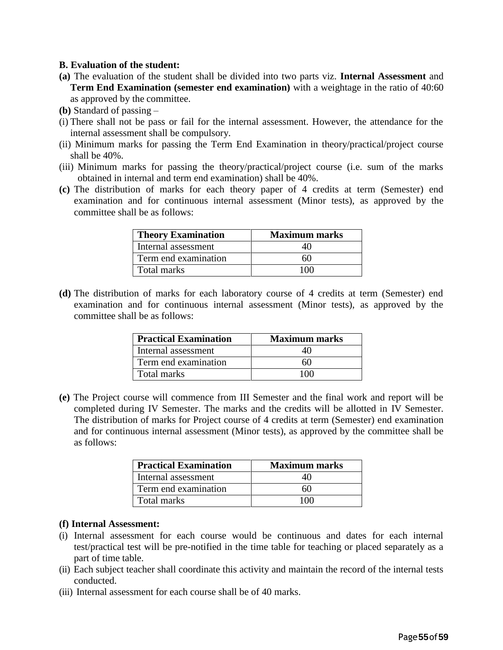#### **B. Evaluation of the student:**

- **(a)** The evaluation of the student shall be divided into two parts viz. **Internal Assessment** and **Term End Examination (semester end examination)** with a weightage in the ratio of 40:60 as approved by the committee.
- **(b)** Standard of passing –
- (i) There shall not be pass or fail for the internal assessment. However, the attendance for the internal assessment shall be compulsory.
- (ii) Minimum marks for passing the Term End Examination in theory/practical/project course shall be 40%.
- (iii) Minimum marks for passing the theory/practical/project course (i.e. sum of the marks obtained in internal and term end examination) shall be 40%.
- **(c)** The distribution of marks for each theory paper of 4 credits at term (Semester) end examination and for continuous internal assessment (Minor tests), as approved by the committee shall be as follows:

| <b>Theory Examination</b> | <b>Maximum marks</b> |
|---------------------------|----------------------|
| Internal assessment       |                      |
| Term end examination      |                      |
| Total marks               |                      |

**(d)** The distribution of marks for each laboratory course of 4 credits at term (Semester) end examination and for continuous internal assessment (Minor tests), as approved by the committee shall be as follows:

| <b>Practical Examination</b> | <b>Maximum marks</b> |
|------------------------------|----------------------|
| Internal assessment          |                      |
| Term end examination         | 60                   |
| Total marks                  |                      |

**(e)** The Project course will commence from III Semester and the final work and report will be completed during IV Semester. The marks and the credits will be allotted in IV Semester. The distribution of marks for Project course of 4 credits at term (Semester) end examination and for continuous internal assessment (Minor tests), as approved by the committee shall be as follows:

| <b>Practical Examination</b> | <b>Maximum marks</b> |
|------------------------------|----------------------|
| Internal assessment          |                      |
| Term end examination         |                      |
| Total marks                  |                      |

#### **(f) Internal Assessment:**

- (i) Internal assessment for each course would be continuous and dates for each internal test/practical test will be pre-notified in the time table for teaching or placed separately as a part of time table.
- (ii) Each subject teacher shall coordinate this activity and maintain the record of the internal tests conducted.
- (iii) Internal assessment for each course shall be of 40 marks.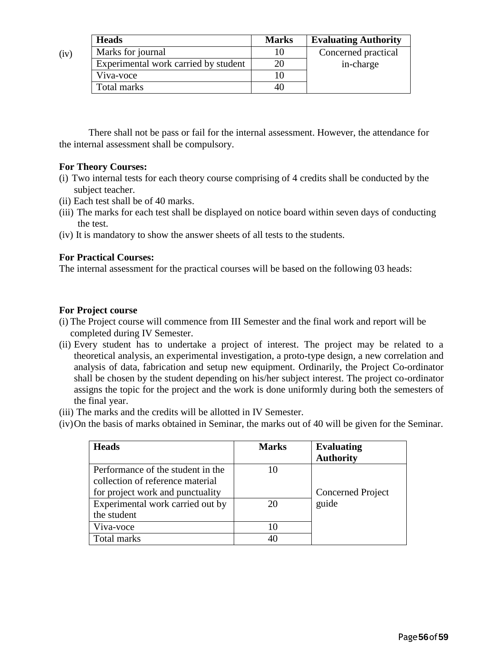|      | <b>Heads</b>                         | <b>Marks</b> | <b>Evaluating Authority</b> |
|------|--------------------------------------|--------------|-----------------------------|
| (iv) | Marks for journal                    |              | Concerned practical         |
|      | Experimental work carried by student | 20           | in-charge                   |
|      | Viva-voce                            |              |                             |
|      | Total marks                          | 40           |                             |

There shall not be pass or fail for the internal assessment. However, the attendance for the internal assessment shall be compulsory.

#### **For Theory Courses:**

- (i) Two internal tests for each theory course comprising of 4 credits shall be conducted by the subject teacher.
- (ii) Each test shall be of 40 marks.
- (iii) The marks for each test shall be displayed on notice board within seven days of conducting the test.
- (iv) It is mandatory to show the answer sheets of all tests to the students.

#### **For Practical Courses:**

The internal assessment for the practical courses will be based on the following 03 heads:

#### **For Project course**

- (i) The Project course will commence from III Semester and the final work and report will be completed during IV Semester.
- (ii) Every student has to undertake a project of interest. The project may be related to a theoretical analysis, an experimental investigation, a proto-type design, a new correlation and analysis of data, fabrication and setup new equipment. Ordinarily, the Project Co-ordinator shall be chosen by the student depending on his/her subject interest. The project co-ordinator assigns the topic for the project and the work is done uniformly during both the semesters of the final year.
- (iii) The marks and the credits will be allotted in IV Semester.
- (iv)On the basis of marks obtained in Seminar, the marks out of 40 will be given for the Seminar.

| <b>Heads</b>                      | <b>Marks</b> | <b>Evaluating</b><br><b>Authority</b> |
|-----------------------------------|--------------|---------------------------------------|
|                                   |              |                                       |
| Performance of the student in the |              |                                       |
| collection of reference material  |              |                                       |
| for project work and punctuality  |              | <b>Concerned Project</b>              |
| Experimental work carried out by  | 20           | guide                                 |
| the student                       |              |                                       |
| Viva-voce                         |              |                                       |
| Total marks                       |              |                                       |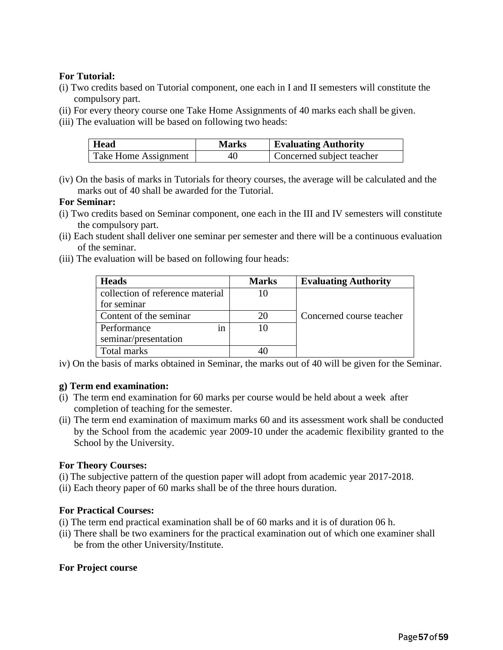#### **For Tutorial:**

- (i) Two credits based on Tutorial component, one each in I and II semesters will constitute the compulsory part.
- (ii) For every theory course one Take Home Assignments of 40 marks each shall be given.
- (iii) The evaluation will be based on following two heads:

| Head                 | <b>Marks</b> | <b>Evaluating Authority</b> |
|----------------------|--------------|-----------------------------|
| Take Home Assignment | 40           | Concerned subject teacher   |

(iv) On the basis of marks in Tutorials for theory courses, the average will be calculated and the marks out of 40 shall be awarded for the Tutorial.

#### **For Seminar:**

- (i) Two credits based on Seminar component, one each in the III and IV semesters will constitute the compulsory part.
- (ii) Each student shall deliver one seminar per semester and there will be a continuous evaluation of the seminar.
- (iii) The evaluation will be based on following four heads:

| <b>Heads</b>                     | <b>Marks</b> | <b>Evaluating Authority</b> |
|----------------------------------|--------------|-----------------------------|
| collection of reference material | 10           |                             |
| for seminar                      |              |                             |
| Content of the seminar           | 20           | Concerned course teacher    |
| Performance<br>ın                | 10           |                             |
| seminar/presentation             |              |                             |
| Total marks                      |              |                             |

iv) On the basis of marks obtained in Seminar, the marks out of 40 will be given for the Seminar.

#### **g) Term end examination:**

- (i) The term end examination for 60 marks per course would be held about a week after completion of teaching for the semester.
- (ii) The term end examination of maximum marks 60 and its assessment work shall be conducted by the School from the academic year 2009-10 under the academic flexibility granted to the School by the University.

#### **For Theory Courses:**

- (i) The subjective pattern of the question paper will adopt from academic year 2017-2018.
- (ii) Each theory paper of 60 marks shall be of the three hours duration.

#### **For Practical Courses:**

- (i) The term end practical examination shall be of 60 marks and it is of duration 06 h.
- (ii) There shall be two examiners for the practical examination out of which one examiner shall be from the other University/Institute.

#### **For Project course**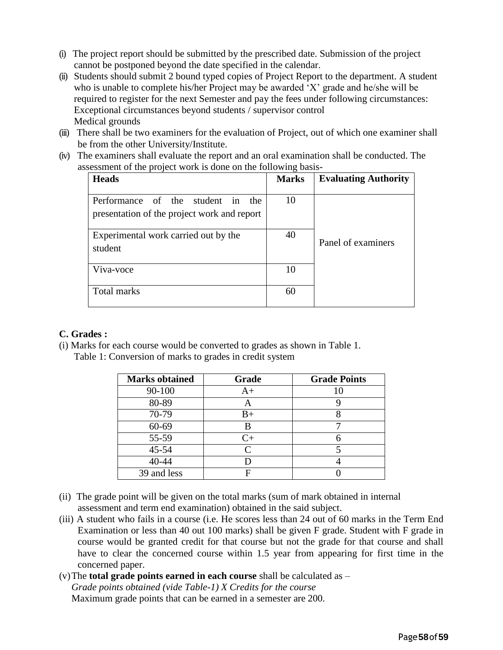- (i) The project report should be submitted by the prescribed date. Submission of the project cannot be postponed beyond the date specified in the calendar.
- (ii) Students should submit 2 bound typed copies of Project Report to the department. A student who is unable to complete his/her Project may be awarded 'X' grade and he/she will be required to register for the next Semester and pay the fees under following circumstances: Exceptional circumstances beyond students / supervisor control Medical grounds
- (iii) There shall be two examiners for the evaluation of Project, out of which one examiner shall be from the other University/Institute.
- (iv) The examiners shall evaluate the report and an oral examination shall be conducted. The assessment of the project work is done on the following basis-

| <b>Heads</b>                                                                        | <b>Marks</b> | <b>Evaluating Authority</b> |
|-------------------------------------------------------------------------------------|--------------|-----------------------------|
| Performance of the student in<br>the<br>presentation of the project work and report | 10           |                             |
| Experimental work carried out by the<br>student                                     | 40           | Panel of examiners          |
| Viva-voce                                                                           | 10           |                             |
| Total marks                                                                         | 60           |                             |

#### **C. Grades :**

(i) Marks for each course would be converted to grades as shown in Table 1.

Table 1: Conversion of marks to grades in credit system

| <b>Marks obtained</b> | Grade     | <b>Grade Points</b> |
|-----------------------|-----------|---------------------|
| 90-100                | $A+$      |                     |
| 80-89                 |           |                     |
| 70-79                 | $B+$      |                     |
| 60-69                 | B         |                     |
| 55-59                 | $C_{\pm}$ |                     |
| 45-54                 | $\subset$ |                     |
| 40-44                 |           |                     |
| 39 and less           |           |                     |

- (ii) The grade point will be given on the total marks (sum of mark obtained in internal assessment and term end examination) obtained in the said subject.
- (iii) A student who fails in a course (i.e. He scores less than 24 out of 60 marks in the Term End Examination or less than 40 out 100 marks) shall be given F grade. Student with F grade in course would be granted credit for that course but not the grade for that course and shall have to clear the concerned course within 1.5 year from appearing for first time in the concerned paper.
- (v)The **total grade points earned in each course** shall be calculated as *Grade points obtained (vide Table-1) X Credits for the course*  Maximum grade points that can be earned in a semester are 200.